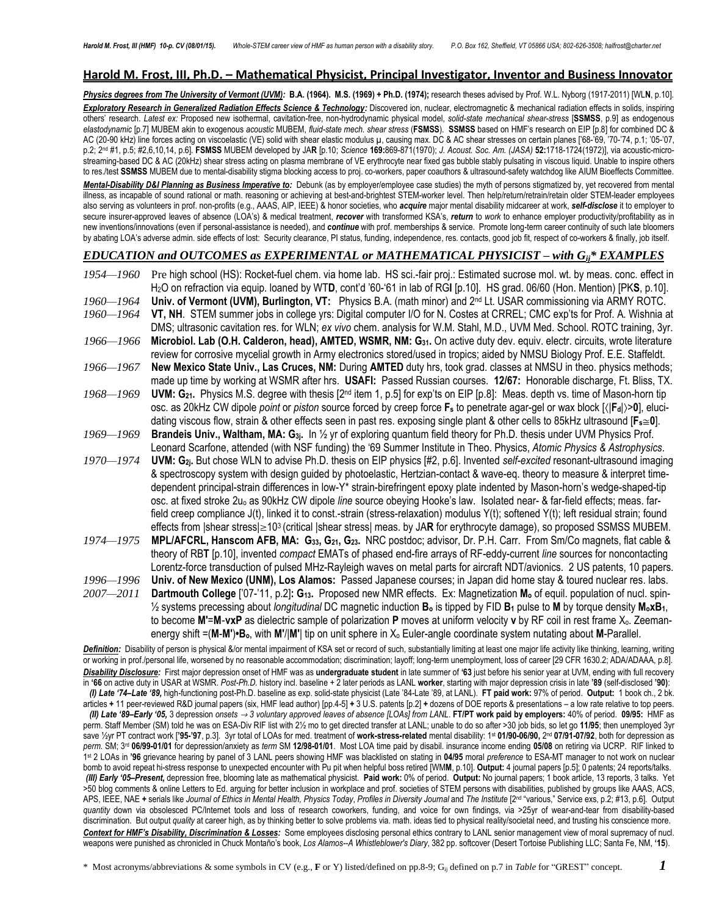#### **Harold M. Frost, III, Ph.D. – Mathematical Physicist, Principal Investigator, Inventor and Business Innovator**

Physics degrees from The University of Vermont (UVM): B.A. (1964). M.S. (1969) + Ph.D. (1974); research theses advised by Prof. W.L. Nyborg (1917-2011) [WLN, p.10]. *Exploratory Research in Generalized Radiation Effects Science & Technology:* Discovered ion, nuclear, electromagnetic & mechanical radiation effects in solids, inspiring others' research. *Latest ex:* Proposed new isothermal, cavitation-free, non-hydrodynamic physical model, *solid-state mechanical shear-stress* [**SSMSS**, p.9] as endogenous *elastodynamic* [p.7] MUBEM akin to exogenous *acoustic* MUBEM, *fluid-state mech. shear stress* (**FSMSS**). **SSMSS** based on HMF's research on EIP [p.8] for combined DC & AC (20-90 kHz) line forces acting on viscoelastic (VE) solid with shear elastic modulus µ, causing max. DC & AC shear stresses on certain planes ['68-'69, '70-'74, p.1; '05-'07, p.2; 2 nd #1, p.5; #2,6,10,14, p.6]. **FSMSS** MUBEM developed by JA**R** [p.10; *Science* **169:**869-871(1970); *J. Acoust. Soc. Am. (JASA)* **52:**1718-1724(1972)], via acoustic-microstreaming-based DC & AC (20kHz) shear stress acting on plasma membrane of VE erythrocyte near fixed gas bubble stably pulsating in viscous liquid. Unable to inspire others to res./test **SSMSS** MUBEM due to mental-disability stigma blocking access to proj. co-workers, paper coauthors & ultrasound-safety watchdog like AIUM Bioeffects Committee.

*Mental-Disability D&I Planning as Business Imperative to:* Debunk (as by employer/employee case studies) the myth of persons stigmatized by, yet recovered from mental illness, as incapable of sound rational or math. reasoning or achieving at best-and-brightest STEM-worker level. Then help/return/retrain/retain older STEM-leader employees also serving as volunteers in prof. non-profits (e.g., AAAS, AIP, IEEE) & honor societies, who *acquire* major mental disability midcareer at work, *self-disclose* it to employer to secure insurer-approved leaves of absence (LOA's) & medical treatment, *recover* with transformed KSA's, *return* to *work* to enhance employer productivity/profitability as in new inventions/innovations (even if personal-assistance is needed), and *continue* with prof. memberships & service. Promote long-term career continuity of such late bloomers by abating LOA's adverse admin. side effects of lost: Security clearance, PI status, funding, independence, res. contacts, good job fit, respect of co-workers & finally, job itself.

#### *EDUCATION and OUTCOMES as EXPERIMENTAL or MATHEMATICAL PHYSICIST – with Gij\* EXAMPLES*

*1954—1960* Pre high school (HS): Rocket-fuel chem. via home lab. HS sci.-fair proj.: Estimated sucrose mol. wt. by meas. conc. effect in H2O on refraction via equip. loaned by WT**D**, cont'd '60-'61 in lab of RG**I** [p.10]. HS grad. 06/60 (Hon. Mention) [PK**S**, p.10]. 1960—1964 **Univ. of Vermont (UVM), Burlington, VT:** Physics B.A. (math minor) and 2<sup>nd</sup> Lt. USAR commissioning via ARMY ROTC. *1960—1964* **VT, NH**. STEM summer jobs in college yrs: Digital computer I/O for N. Costes at CRREL; CMC exp'ts for Prof. A. Wishnia at DMS; ultrasonic cavitation res. for WLN; *ex vivo* chem. analysis for W.M. Stahl, M.D., UVM Med. School. ROTC training, 3yr.  *1966—1966* **Microbiol. Lab (O.H. Calderon, head), AMTED, WSMR, NM: G31.** On active duty dev. equiv. electr. circuits, wrote literature review for corrosive mycelial growth in Army electronics stored/used in tropics; aided by NMSU Biology Prof. E.E. Staffeldt. *1966—1967* **New Mexico State Univ., Las Cruces, NM:** During **AMTED** duty hrs, took grad. classes at NMSU in theo. physics methods; made up time by working at WSMR after hrs. **USAFI:** Passed Russian courses. **12/67:** Honorable discharge, Ft. Bliss, TX. *1968—1969* **UVM: G21.** Physics M.S. degree with thesis [2nd item 1, p.5] for exp'ts on EIP [p.8]: Meas. depth vs. time of Mason-horn tip osc. as 20kHz CW dipole *point* or *piston* source forced by creep force **F<sup>s</sup>** to penetrate agar-gel or wax block [|**Fd**|>**0**], elucidating viscous flow, strain & other effects seen in past res. exposing single plant & other cells to 85kHz ultrasound [**Fs0**]. *1969—1969* **Brandeis Univ., Waltham, MA: G3j.** In ½ yr of exploring quantum field theory for Ph.D. thesis under UVM Physics Prof. Leonard Scarfone, attended (with NSF funding) the '69 Summer Institute in Theo. Physics, *Atomic Physics & Astrophysics*. *1970—1974* **UVM: G2j.** But chose WLN to advise Ph.D. thesis on EIP physics [#2, p.6]. Invented *self-excited* resonant-ultrasound imaging & spectroscopy system with design guided by photoelastic, Hertzian-contact & wave-eq. theory to measure & interpret timedependent principal-strain differences in low-Y\* strain-birefringent epoxy plate indented by Mason-horn's wedge-shaped-tip osc. at fixed stroke 2u<sup>o</sup> as 90kHz CW dipole *line* source obeying Hooke's law. Isolated near- & far-field effects; meas. farfield creep compliance J(t), linked it to const.-strain (stress-relaxation) modulus Y(t); softened Y(t); left residual strain; found effects from |shear stress|≥10<sup>3</sup> (critical |shear stress| meas. by JA**R** for erythrocyte damage), so proposed SSMSS MUBEM. *1974—1975* **MPL/AFCRL, Hanscom AFB, MA: G33, G21, G23.** NRC postdoc; advisor, Dr. P.H. Carr. From Sm/Co magnets, flat cable & theory of RB**T** [p.10], invented *compact* EMATs of phased end-fire arrays of RF-eddy-current *line* sources for noncontacting Lorentz-force transduction of pulsed MHz-Rayleigh waves on metal parts for aircraft NDT/avionics. 2 US patents, 10 papers. *1996—1996* **Univ. of New Mexico (UNM), Los Alamos:** Passed Japanese courses; in Japan did home stay & toured nuclear res. labs. *2007—2011* **Dartmouth College** ['07-'11, p.2]**: G13.** Proposed new NMR effects. Ex: Magnetization **M<sup>o</sup>** of equil. population of nucl. spin- ½ systems precessing about *longitudinal* DC magnetic induction **B<sup>o</sup>** is tipped by FID **B<sup>1</sup>** pulse to **M** by torque density **MoxB1**, to become **M′**=**M**-**vxP** as dielectric sample of polarization **P** moves at uniform velocity **v** by RF coil in rest frame Xo. Zeemanenergy shift =(**M**-**M′**)**•Bo**, with **M′**/|**M′**| tip on unit sphere in X<sup>o</sup> Euler-angle coordinate system nutating about **M**-Parallel.

Definition: Disability of person is physical &/or mental impairment of KSA set or record of such, substantially limiting at least one major life activity like thinking, learning, writing or working in prof./personal life, worsened by no reasonable accommodation; discrimination; layoff; long-term unemployment, loss of career [29 CFR 1630.2; ADA/ADAAA, p.8]. *Disability Disclosure:* First major depression onset of HMF was as **undergraduate student** in late summer of **'63** just before his senior year at UVM, ending with full recovery in **'66** on active duty in USAR at WSMR. *Post-Ph.D.* history incl. baseline + 2 later periods as LANL **worker**, starting with major depression crisis in late **'89** (self-disclosed **'90)**:  *(I) Late '74–Late '89,* high-functioning post-Ph.D. baseline as exp. solid-state physicist (Late '84-Late '89, at LANL). **FT paid work:** 97% of period.**Output:** 1 book ch., 2 bk. articles **+** 11 peer-reviewed R&D journal papers (six, HMF lead author) [pp.4-5] **+** 3 U.S. patents [p.2] **+** dozens of DOE reports & presentations – a low rate relative to top peers. (II) Late '89-Early '05, 3 depression onsets  $\rightarrow$  3 voluntary approved leaves of absence [LOAs] from LANL. FT/PT work paid by employers: 40% of period. 09/95: HMF as perm. Staff Member (SM) told he was on ESA-Div RIF list with 2½ mo to get directed transfer at LANL; unable to do so after >30 job bids, so let go **11/95**; then unemployed 3yr save ½yr PT contract work [**'95-'97**, p.3]. 3yr total of LOAs for med. treatment of **work-stress-related** mental disability: 1st **01/90-06/90,** 2 nd **07/91-07/92**, both for depression as *perm.* SM; 3rd **06/99-01/01** for depression/anxiety as *term* SM **12/98-01/01**. Most LOA time paid by disabil. insurance income ending **05/08** on retiring via UCRP. RIF linked to 1 st 2 LOAs in **'96** grievance hearing by panel of 3 LANL peers showing HMF was blacklisted on stating in **04/95** moral *preference* to ESA-MT manager to not work on nuclear bomb to avoid repeat hi-stress response to unexpected encounter with Pu pit when helpful boss retired [WM**M**, p.10]. **Output:** 4 journal papers [p.5]; 0 patents; 24 reports/talks.  *(III) Early '05–Present,* depression free, blooming late as mathematical physicist. **Paid work:** 0% of period. **Output:** No journal papers; 1 book article, 13 reports, 3 talks. Yet >50 blog comments & online Letters to Ed. arguing for better inclusion in workplace and prof. societies of STEM persons with disabilities, published by groups like AAAS, ACS, APS, IEEE, NAE **+** serials like *Journal of Ethics in Mental Health, Physics Today*, *Profiles in Diversity Journal* and *The Institute* [2nd "various," Service exs, p.2; #13, p.6]. Output *quantity* down via obsolesced PC/Internet tools and loss of research coworkers, funding, and voice for own findings, via >25yr of wear-and-tear from disability-based discrimination. But output *quality* at career high, as by thinking better to solve problems via. math. ideas tied to physical reality/societal need, and trusting his conscience more. *Context for HMF's Disability, Discrimination & Losses:* Some employees disclosing personal ethics contrary to LANL senior management view of moral supremacy of nucl. weapons were punished as chronicled in Chuck Montaño's book, *Los Alamos--A Whistleblower's Diary*, 382 pp. softcover (Desert Tortoise Publishing LLC; Santa Fe, NM, **'15**).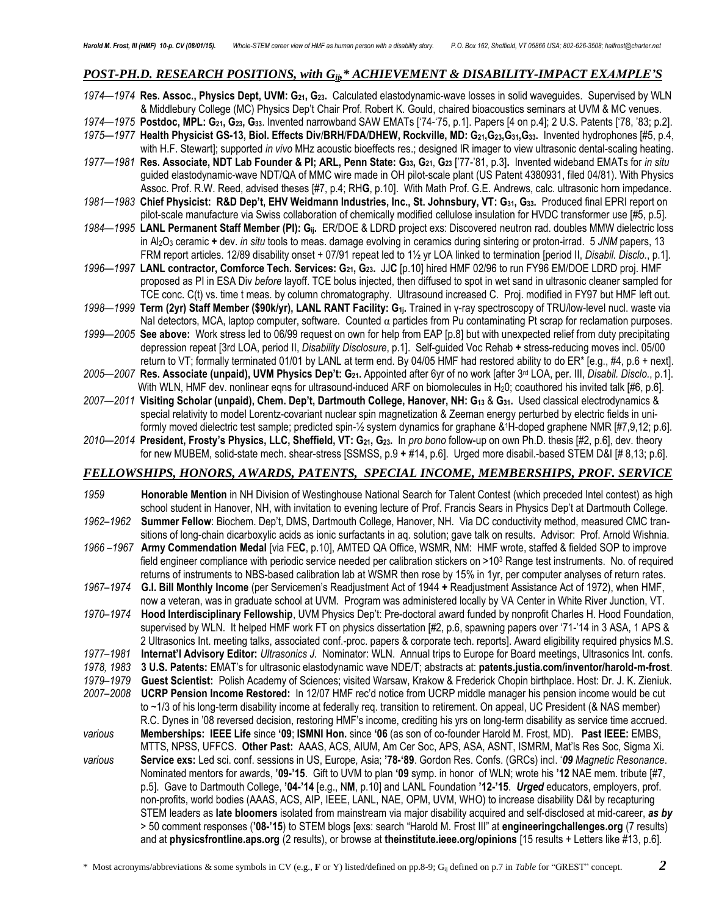# *POST-PH.D. RESEARCH POSITIONS, with Gij,\* ACHIEVEMENT & DISABILITY-IMPACT EXAMPLE'S*

|            | 1974-1974 Res. Assoc., Physics Dept, UVM: G <sub>21</sub> , G <sub>23</sub> . Calculated elastodynamic-wave losses in solid waveguides. Supervised by WLN                                                                                                    |
|------------|--------------------------------------------------------------------------------------------------------------------------------------------------------------------------------------------------------------------------------------------------------------|
|            | & Middlebury College (MC) Physics Dep't Chair Prof. Robert K. Gould, chaired bioacoustics seminars at UVM & MC venues.                                                                                                                                       |
|            | 1974-1975 Postdoc, MPL: G <sub>21</sub> , G <sub>23</sub> , G <sub>33</sub> . Invented narrowband SAW EMATs ['74-'75, p.1]. Papers [4 on p.4]; 2 U.S. Patents ['78, '83; p.2].                                                                               |
|            | 1975-1977 Health Physicist GS-13, Biol. Effects Div/BRH/FDA/DHEW, Rockville, MD: G21, G23, G31, G33. Invented hydrophones [#5, p.4,                                                                                                                          |
|            | with H.F. Stewart]; supported in vivo MHz acoustic bioeffects res.; designed IR imager to view ultrasonic dental-scaling heating.                                                                                                                            |
|            | 1977-1981 Res. Associate, NDT Lab Founder & PI; ARL, Penn State: G33, G21, G23 [77-'81, p.3]. Invented wideband EMATs for in situ                                                                                                                            |
|            | guided elastodynamic-wave NDT/QA of MMC wire made in OH pilot-scale plant (US Patent 4380931, filed 04/81). With Physics                                                                                                                                     |
|            | Assoc. Prof. R.W. Reed, advised theses [#7, p.4; RHG, p.10]. With Math Prof. G.E. Andrews, calc. ultrasonic horn impedance.                                                                                                                                  |
|            | 1981-1983 Chief Physicist: R&D Dep't, EHV Weidmann Industries, Inc., St. Johnsbury, VT: G31, G33. Produced final EPRI report on                                                                                                                              |
|            | pilot-scale manufacture via Swiss collaboration of chemically modified cellulose insulation for HVDC transformer use [#5, p.5].                                                                                                                              |
|            | 1984-1995 LANL Permanent Staff Member (PI): G <sub>ij</sub> . ER/DOE & LDRD project exs: Discovered neutron rad. doubles MMW dielectric loss                                                                                                                 |
|            | in Al <sub>2</sub> O <sub>3</sub> ceramic + dev. in situ tools to meas. damage evolving in ceramics during sintering or proton-irrad. 5 JNM papers, 13                                                                                                       |
|            | FRM report articles. 12/89 disability onset + 07/91 repeat led to 1½ yr LOA linked to termination [period II, Disabil. Disclo., p.1].                                                                                                                        |
|            | 1996-1997 LANL contractor, Comforce Tech. Services: G21, G23. JJC [p.10] hired HMF 02/96 to run FY96 EM/DOE LDRD proj. HMF                                                                                                                                   |
|            | proposed as PI in ESA Div before layoff. TCE bolus injected, then diffused to spot in wet sand in ultrasonic cleaner sampled for                                                                                                                             |
|            | TCE conc. C(t) vs. time t meas. by column chromatography. Ultrasound increased C. Proj. modified in FY97 but HMF left out.                                                                                                                                   |
|            | 1998-1999 Term (2yr) Staff Member (\$90k/yr), LANL RANT Facility: G <sub>1j</sub> . Trained in y-ray spectroscopy of TRU/low-level nucl. waste via                                                                                                           |
|            | Nal detectors, MCA, laptop computer, software. Counted $\alpha$ particles from Pu contaminating Pt scrap for reclamation purposes.                                                                                                                           |
|            | 1999-2005 See above: Work stress led to 06/99 request on own for help from EAP [p.8] but with unexpected relief from duty precipitating                                                                                                                      |
|            | depression repeat [3rd LOA, period II, Disability Disclosure, p.1]. Self-guided Voc Rehab + stress-reducing moves incl. 05/00                                                                                                                                |
|            | return to VT; formally terminated 01/01 by LANL at term end. By 04/05 HMF had restored ability to do ER* [e.g., #4, p.6 + next].                                                                                                                             |
|            | 2005-2007 Res. Associate (unpaid), UVM Physics Dep't: G21. Appointed after 6yr of no work [after 3rd LOA, per. III, Disabil. Disclo., p.1].                                                                                                                  |
|            | With WLN, HMF dev. nonlinear eqns for ultrasound-induced ARF on biomolecules in H <sub>2</sub> 0; coauthored his invited talk [#6, p.6].                                                                                                                     |
|            | 2007-2011 Visiting Scholar (unpaid), Chem. Dep't, Dartmouth College, Hanover, NH: G13 & G31. Used classical electrodynamics &                                                                                                                                |
|            | special relativity to model Lorentz-covariant nuclear spin magnetization & Zeeman energy perturbed by electric fields in uni-                                                                                                                                |
|            | formly moved dielectric test sample; predicted spin-1/2 system dynamics for graphane &1H-doped graphene NMR [#7,9,12; p.6].                                                                                                                                  |
|            | 2010-2014 President, Frosty's Physics, LLC, Sheffield, VT: G21, G23. In pro bono follow-up on own Ph.D. thesis [#2, p.6], dev. theory                                                                                                                        |
|            | for new MUBEM, solid-state mech. shear-stress [SSMSS, p.9 + #14, p.6]. Urged more disabil.-based STEM D&I [#8,13; p.6].                                                                                                                                      |
|            |                                                                                                                                                                                                                                                              |
|            | FELLOWSHIPS, HONORS, AWARDS, PATENTS, SPECIAL INCOME, MEMBERSHIPS, PROF. SERVICE                                                                                                                                                                             |
|            |                                                                                                                                                                                                                                                              |
| 1959       | Honorable Mention in NH Division of Westinghouse National Search for Talent Contest (which preceded Intel contest) as high                                                                                                                                   |
|            | school student in Hanover, NH, with invitation to evening lecture of Prof. Francis Sears in Physics Dep't at Dartmouth College.                                                                                                                              |
| 1962–1962  | Summer Fellow: Biochem. Dep't, DMS, Dartmouth College, Hanover, NH. Via DC conductivity method, measured CMC tran-                                                                                                                                           |
|            | sitions of long-chain dicarboxylic acids as ionic surfactants in aq. solution; gave talk on results. Advisor: Prof. Arnold Wishnia.                                                                                                                          |
|            | 1966-1967 Army Commendation Medal [via FEC, p.10], AMTED QA Office, WSMR, NM: HMF wrote, staffed & fielded SOP to improve                                                                                                                                    |
|            | field engineer compliance with periodic service needed per calibration stickers on >103 Range test instruments. No. of required                                                                                                                              |
|            | returns of instruments to NBS-based calibration lab at WSMR then rose by 15% in 1yr, per computer analyses of return rates.                                                                                                                                  |
|            | 1967-1974 G.I. Bill Monthly Income (per Servicemen's Readjustment Act of 1944 + Readjustment Assistance Act of 1972), when HMF,                                                                                                                              |
|            | now a veteran, was in graduate school at UVM. Program was administered locally by VA Center in White River Junction, VT.                                                                                                                                     |
| 1970–1974  | Hood Interdisciplinary Fellowship, UVM Physics Dep't: Pre-doctoral award funded by nonprofit Charles H. Hood Foundation,                                                                                                                                     |
|            | supervised by WLN. It helped HMF work FT on physics dissertation [#2, p.6, spawning papers over '71-'14 in 3 ASA, 1 APS &                                                                                                                                    |
|            | 2 Ultrasonics Int. meeting talks, associated conf.-proc. papers & corporate tech. reports]. Award eligibility required physics M.S.                                                                                                                          |
| 1977-1981  | Internat'l Advisory Editor: Ultrasonics J. Nominator: WLN. Annual trips to Europe for Board meetings, Ultrasonics Int. confs.                                                                                                                                |
| 1978, 1983 | 3 U.S. Patents: EMAT's for ultrasonic elastodynamic wave NDE/T; abstracts at: patents.justia.com/inventor/harold-m-frost.                                                                                                                                    |
| 1979–1979  | Guest Scientist: Polish Academy of Sciences; visited Warsaw, Krakow & Frederick Chopin birthplace. Host: Dr. J. K. Zieniuk.                                                                                                                                  |
| 2007-2008  | UCRP Pension Income Restored: In 12/07 HMF rec'd notice from UCRP middle manager his pension income would be cut                                                                                                                                             |
|            | to ~1/3 of his long-term disability income at federally req. transition to retirement. On appeal, UC President (& NAS member)                                                                                                                                |
|            | R.C. Dynes in '08 reversed decision, restoring HMF's income, crediting his yrs on long-term disability as service time accrued.                                                                                                                              |
| various    | Memberships: IEEE Life since '09; ISMNI Hon. since '06 (as son of co-founder Harold M. Frost, MD). Past IEEE: EMBS,                                                                                                                                          |
|            | MTTS, NPSS, UFFCS. Other Past: AAAS, ACS, AIUM, Am Cer Soc, APS, ASA, ASNT, ISMRM, Mat'ls Res Soc, Sigma Xi.                                                                                                                                                 |
| various    | Service exs: Led sci. conf. sessions in US, Europe, Asia; '78-'89. Gordon Res. Confs. (GRCs) incl. '09 Magnetic Resonance.                                                                                                                                   |
|            | Nominated mentors for awards, '09-'15. Gift to UVM to plan '09 symp. in honor of WLN; wrote his '12 NAE mem. tribute [#7,                                                                                                                                    |
|            | p.5]. Gave to Dartmouth College, '04-'14 [e.g., NM, p.10] and LANL Foundation '12-'15. Urged educators, employers, prof.                                                                                                                                     |
|            | non-profits, world bodies (AAAS, ACS, AIP, IEEE, LANL, NAE, OPM, UVM, WHO) to increase disability D&I by recapturing                                                                                                                                         |
|            | STEM leaders as late bloomers isolated from mainstream via major disability acquired and self-disclosed at mid-career, as by                                                                                                                                 |
|            | > 50 comment responses ('08-'15) to STEM blogs [exs: search "Harold M. Frost III" at engineeringchallenges.org (7 results)<br>and at physicsfrontline.aps.org (2 results), or browse at theinstitute.ieee.org/opinions [15 results + Letters like #13, p.6]. |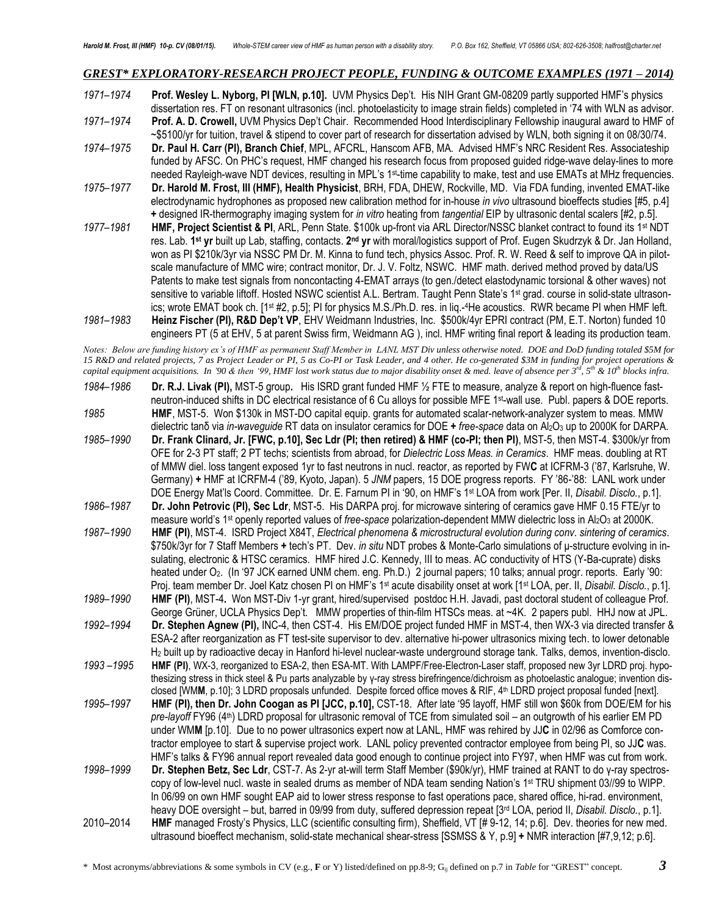#### *GREST\* EXPLORATORY-RESEARCH PROJECT PEOPLE, FUNDING & OUTCOME EXAMPLES (1971 – 2014)*

*1971–1974* **Prof. Wesley L. Nyborg, PI [WLN, p.10].** UVM Physics Dep't. His NIH Grant GM-08209 partly supported HMF's physics dissertation res. FT on resonant ultrasonics (incl. photoelasticity to image strain fields) completed in '74 with WLN as advisor. *1971–1974* **Prof. A. D. Crowell,** UVM Physics Dep't Chair. Recommended Hood Interdisciplinary Fellowship inaugural award to HMF of ~\$5100/yr for tuition, travel & stipend to cover part of research for dissertation advised by WLN, both signing it on 08/30/74.

- *1974–1975* **Dr. Paul H. Carr (PI), Branch Chief**, MPL, AFCRL, Hanscom AFB, MA. Advised HMF's NRC Resident Res. Associateship funded by AFSC. On PHC's request, HMF changed his research focus from proposed guided ridge-wave delay-lines to more needed Rayleigh-wave NDT devices, resulting in MPL's 1st-time capability to make, test and use EMATs at MHz frequencies.
- *1975–1977* **Dr. Harold M. Frost, III (HMF), Health Physicist**, BRH, FDA, DHEW, Rockville, MD. Via FDA funding, invented EMAT-like electrodynamic hydrophones as proposed new calibration method for in-house *in vivo* ultrasound bioeffects studies [#5, p.4] **+** designed IR-thermography imaging system for *in vitro* heating from *tangential* EIP by ultrasonic dental scalers [#2, p.5].
- 1977–1981 **HMF, Project Scientist & PI**, ARL, Penn State. \$100k up-front via ARL Director/NSSC blanket contract to found its 1<sup>st</sup> NDT res. Lab. **1 st yr** built up Lab, staffing, contacts. **2 nd yr** with moral/logistics support of Prof. Eugen Skudrzyk & Dr. Jan Holland, won as PI \$210k/3yr via NSSC PM Dr. M. Kinna to fund tech, physics Assoc. Prof. R. W. Reed & self to improve QA in pilotscale manufacture of MMC wire; contract monitor, Dr. J. V. Foltz, NSWC. HMF math. derived method proved by data/US Patents to make test signals from noncontacting 4-EMAT arrays (to gen./detect elastodynamic torsional & other waves) not sensitive to variable liftoff. Hosted NSWC scientist A.L. Bertram. Taught Penn State's 1<sup>st</sup> grad. course in solid-state ultrasonics; wrote EMAT book ch. [1st #2, p.5]; PI for physics M.S./Ph.D. res. in liq.- <sup>4</sup>He acoustics. RWR became PI when HMF left.
- *1981–1983* **Heinz Fischer (PI), R&D Dep't VP**, EHV Weidmann Industries, Inc. \$500k/4yr EPRI contract (PM, E.T. Norton) funded 10 engineers PT (5 at EHV, 5 at parent Swiss firm, Weidmann AG ), incl. HMF writing final report & leading its production team.

*Notes: Below are funding history ex's of HMF as permanent Staff Member in LANL MST Div unless otherwise noted. DOE and DoD funding totaled \$5M for 15 R&D and related projects, 7 as Project Leader or PI, 5 as Co-PI or Task Leader, and 4 other. He co-generated \$3M in funding for project operations &*  capital equipment acquisitions. In '90 & then '99, HMF lost work status due to major disability onset & med. leave of absence per 3<sup>rd</sup>, 5<sup>th</sup> & 10<sup>th</sup> blocks infra.

*1984–1986* **Dr. R.J. Livak (PI),** MST-5 group**.** His ISRD grant funded HMF ½ FTE to measure, analyze & report on high-fluence fastneutron-induced shifts in DC electrical resistance of 6 Cu alloys for possible MFE 1<sup>st\_</sup>wall use. Publ. papers & DOE reports. *1985* **HMF**, MST-5. Won \$130k in MST-DO capital equip. grants for automated scalar-network-analyzer system to meas. MMW dielectric tanδ via *in-waveguide* RT data on insulator ceramics for DOE **+** *free-space* data on Al2O<sup>3</sup> up to 2000K for DARPA. *1985–1990* **Dr. Frank Clinard, Jr. [FWC, p.10], Sec Ldr (PI; then retired) & HMF (co-PI; then PI)**, MST-5, then MST-4. \$300k/yr from OFE for 2-3 PT staff; 2 PT techs; scientists from abroad, for *Dielectric Loss Meas. in Ceramics*. HMF meas. doubling at RT of MMW diel. loss tangent exposed 1yr to fast neutrons in nucl. reactor, as reported by FW**C** at ICFRM-3 ('87, Karlsruhe, W. Germany) **+** HMF at ICRFM-4 ('89, Kyoto, Japan). 5 *JNM* papers, 15 DOE progress reports. FY '86-'88: LANL work under DOE Energy Mat'ls Coord. Committee. Dr. E. Farnum PI in '90, on HMF's 1 st LOA from work [Per. II, *Disabil. Disclo.*, p.1]. *1986–1987* **Dr. John Petrovic (PI), Sec Ldr**, MST-5. His DARPA proj. for microwave sintering of ceramics gave HMF 0.15 FTE/yr to measure world's 1st openly reported values of *free-space* polarization-dependent MMW dielectric loss in Al2O<sup>3</sup> at 2000K. *1987–1990* **HMF (PI)**, MST-4.ISRD Project X84T, *Electrical phenomena & microstructural evolution during conv. sintering of ceramics*. \$750k/3yr for 7 Staff Members **+** tech's PT. Dev. *in situ* NDT probes & Monte-Carlo simulations of μ-structure evolving in insulating, electronic & HTSC ceramics. HMF hired J.C. Kennedy, III to meas. AC conductivity of HTS (Y-Ba-cuprate) disks heated under O<sub>2</sub>. (In '97 JCK earned UNM chem. eng. Ph.D.) 2 journal papers; 10 talks; annual progr. reports. Early '90: Proj. team member Dr. Joel Katz chosen PI on HMF's 1st acute disability onset at work [1st LOA, per. II, *Disabil. Disclo.*, p.1]. *1989–1990* **HMF (PI)**, MST-4**.** Won MST-Div 1-yr grant, hired/supervised postdoc H.H. Javadi, past doctoral student of colleague Prof. George Grüner, UCLA Physics Dep't. MMW properties of thin-film HTSCs meas. at ~4K. 2 papers publ. HHJ now at JPL. *1992–1994* **Dr. Stephen Agnew (PI),** INC-4, then CST-4. His EM/DOE project funded HMF in MST-4, then WX-3 via directed transfer & ESA-2 after reorganization as FT test-site supervisor to dev. alternative hi-power ultrasonics mixing tech. to lower detonable H<sup>2</sup> built up by radioactive decay in Hanford hi-level nuclear-waste underground storage tank. Talks, demos, invention-disclo. *1993 –1995* **HMF (PI)**, WX-3, reorganized to ESA-2, then ESA-MT. With LAMPF/Free-Electron-Laser staff, proposed new 3yr LDRD proj. hypothesizing stress in thick steel & Pu parts analyzable by γ-ray stress birefringence/dichroism as photoelastic analogue; invention disclosed [WM**M**, p.10]; 3 LDRD proposals unfunded. Despite forced office moves & RIF, 4<sup>th</sup> LDRD project proposal funded [next]. *1995–1997* **HMF (PI), then Dr. John Coogan as PI [JCC, p.10],** CST-18. After late '95 layoff, HMF still won \$60k from DOE/EM for his pre-layoff FY96 (4<sup>th</sup>) LDRD proposal for ultrasonic removal of TCE from simulated soil – an outgrowth of his earlier EM PD under WM**M** [p.10]. Due to no power ultrasonics expert now at LANL, HMF was rehired by JJ**C** in 02/96 as Comforce contractor employee to start & supervise project work. LANL policy prevented contractor employee from being PI, so JJ**C** was. HMF's talks & FY96 annual report revealed data good enough to continue project into FY97, when HMF was cut from work. *1998–1999* **Dr. Stephen Betz, Sec Ldr**, CST-7. As 2-yr at-will term Staff Member (\$90k/yr), HMF trained at RANT to do γ-ray spectroscopy of low-level nucl. waste in sealed drums as member of NDA team sending Nation's 1<sup>st</sup> TRU shipment 03//99 to WIPP. In 06/99 on own HMF sought EAP aid to lower stress response to fast operations pace, shared office, hi-rad. environment, heavy DOE oversight – but, barred in 09/99 from duty, suffered depression repeat [3rd LOA, period II, *Disabil. Disclo.*, p.1]. 2010–2014 **HMF** managed Frosty's Physics, LLC (scientific consulting firm), Sheffield, VT [# 9-12, 14; p.6]. Dev. theories for new med. ultrasound bioeffect mechanism, solid-state mechanical shear-stress [SSMSS & Y, p.9] **+** NMR interaction [#7,9,12; p.6].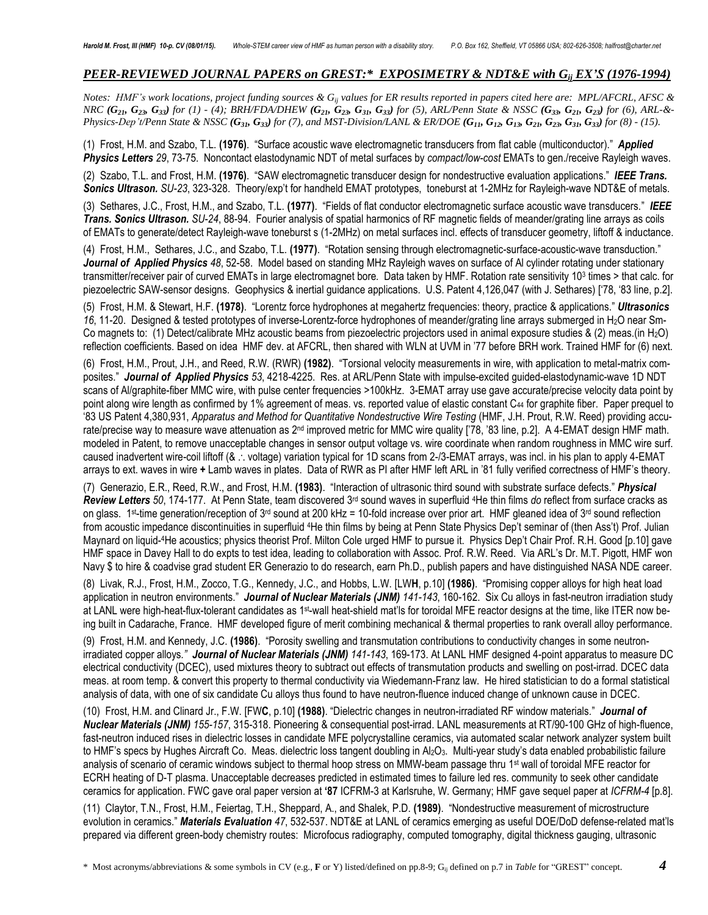# *PEER-REVIEWED JOURNAL PAPERS on GREST:\* EXPOSIMETRY & NDT&E with Gij EX'S (1976-1994)*

*Notes: HMF's work locations, project funding sources & Gij values for ER results reported in papers cited here are: MPL/AFCRL, AFSC &*  NRC  $(G_{2b}, G_{23}, G_{33})$  for (1) - (4); BRH/FDA/DHEW  $(G_{2b}, G_{3b}, G_{3b}, G_{33})$  for (5), ARL/Penn State & NSSC  $(G_{33}, G_{2b}, G_{23})$  for (6), ARL-&-Physics-Dep't/Penn State & NSSC ( $G_{3b}$ ,  $G_{33}$ ) for (7), and MST-Division/LANL & ER/DOE ( $G_{1b}$ ,  $G_{12}$ ,  $G_{13}$ ,  $G_{21}$ ,  $G_{23}$ ,  $G_{31}$ ,  $G_{33}$ ) for (8) - (15).

(1) Frost, H.M. and Szabo, T.L. **(1976)**. "Surface acoustic wave electromagnetic transducers from flat cable (multiconductor)." *Applied Physics Letters 29*, 73-75. Noncontact elastodynamic NDT of metal surfaces by *compact/low-cost* EMATs to gen./receive Rayleigh waves.

(2) Szabo, T.L. and Frost, H.M. **(1976)**. "SAW electromagnetic transducer design for nondestructive evaluation applications." *IEEE Trans. Sonics Ultrason. SU-23*, 323-328. Theory/exp't for handheld EMAT prototypes, toneburst at 1-2MHz for Rayleigh-wave NDT&E of metals.

(3) Sethares, J.C., Frost, H.M., and Szabo, T.L. **(1977)**. "Fields of flat conductor electromagnetic surface acoustic wave transducers." *IEEE Trans. Sonics Ultrason. SU-24*, 88-94. Fourier analysis of spatial harmonics of RF magnetic fields of meander/grating line arrays as coils of EMATs to generate/detect Rayleigh-wave toneburst s (1-2MHz) on metal surfaces incl. effects of transducer geometry, liftoff & inductance.

(4) Frost, H.M., Sethares, J.C., and Szabo, T.L. **(1977)**. "Rotation sensing through electromagnetic-surface-acoustic-wave transduction." *Journal of Applied Physics 48*, 52-58. Model based on standing MHz Rayleigh waves on surface of Al cylinder rotating under stationary transmitter/receiver pair of curved EMATs in large electromagnet bore*.* Data taken by HMF. Rotation rate sensitivity 10<sup>3</sup> times > that calc. for piezoelectric SAW-sensor designs. Geophysics & inertial guidance applications. U.S. Patent 4,126,047 (with J. Sethares) ['78, '83 line, p.2].

(5) Frost, H.M. & Stewart, H.F. **(1978)**. "Lorentz force hydrophones at megahertz frequencies: theory, practice & applications." *Ultrasonics 16*, 11-20. Designed & tested prototypes of inverse-Lorentz-force hydrophones of meander/grating line arrays submerged in H2O near Sm-Co magnets to: (1) Detect/calibrate MHz acoustic beams from piezoelectric projectors used in animal exposure studies & (2) meas.(in H2O) reflection coefficients. Based on idea HMF dev. at AFCRL, then shared with WLN at UVM in '77 before BRH work. Trained HMF for (6) next.

(6) Frost, H.M., Prout, J.H., and Reed, R.W. (RWR) **(1982)**. "Torsional velocity measurements in wire, with application to metal-matrix composites." *Journal of Applied Physics 53*, 4218-4225. Res. at ARL/Penn State with impulse-excited guided-elastodynamic-wave 1D NDT scans of Al/graphite-fiber MMC wire, with pulse center frequencies >100kHz. 3-EMAT array use gave accurate/precise velocity data point by point along wire length as confirmed by 1% agreement of meas. vs. reported value of elastic constant C<sup>44</sup> for graphite fiber. Paper prequel to '83 US Patent 4,380,931, *Apparatus and Method for Quantitative Nondestructive Wire Testing* (HMF, J.H. Prout, R.W. Reed) providing accurate/precise way to measure wave attenuation as 2<sup>nd</sup> improved metric for MMC wire quality ['78, '83 line, p.2]. A 4-EMAT design HMF math. modeled in Patent, to remove unacceptable changes in sensor output voltage vs. wire coordinate when random roughness in MMC wire surf. caused inadvertent wire-coil liftoff (& ... voltage) variation typical for 1D scans from 2-/3-EMAT arrays, was incl. in his plan to apply 4-EMAT arrays to ext. waves in wire **+** Lamb waves in plates. Data of RWR as PI after HMF left ARL in '81 fully verified correctness of HMF's theory.

(7) Generazio, E.R., Reed, R.W., and Frost, H.M. **(1983)**. "Interaction of ultrasonic third sound with substrate surface defects." *Physical*  Review Letters 50, 174-177. At Penn State, team discovered 3<sup>rd</sup> sound waves in superfluid <sup>4</sup>He thin films *do* reflect from surface cracks as on glass. 1st-time generation/reception of 3<sup>rd</sup> sound at 200 kHz = 10-fold increase over prior art. HMF gleaned idea of 3<sup>rd</sup> sound reflection from acoustic impedance discontinuities in superfluid 4He thin films by being at Penn State Physics Dep't seminar of (then Ass't) Prof. Julian Maynard on liquid-<sup>4</sup>He acoustics; physics theorist Prof. Milton Cole urged HMF to pursue it. Physics Dep't Chair Prof. R.H. Good [p.10] gave HMF space in Davey Hall to do expts to test idea, leading to collaboration with Assoc. Prof. R.W. Reed. Via ARL's Dr. M.T. Pigott, HMF won Navy \$ to hire & coadvise grad student ER Generazio to do research, earn Ph.D., publish papers and have distinguished NASA NDE career.

(8) Livak, R.J., Frost, H.M., Zocco, T.G., Kennedy, J.C., and Hobbs, L.W. [LW**H**, p.10] **(1986)**. "Promising copper alloys for high heat load application in neutron environments." *Journal of Nuclear Materials (JNM) 141-143*, 160-162. Six Cu alloys in fast-neutron irradiation study at LANL were high-heat-flux-tolerant candidates as 1st-wall heat-shield mat'ls for toroidal MFE reactor designs at the time, like ITER now being built in Cadarache, France. HMF developed figure of merit combining mechanical & thermal properties to rank overall alloy performance.

(9) Frost, H.M. and Kennedy, J.C. **(1986)**. "Porosity swelling and transmutation contributions to conductivity changes in some neutronirradiated copper alloys*." Journal of Nuclear Materials (JNM) 141-143*, 169-173. At LANL HMF designed 4-point apparatus to measure DC electrical conductivity (DCEC), used mixtures theory to subtract out effects of transmutation products and swelling on post-irrad. DCEC data meas. at room temp. & convert this property to thermal conductivity via Wiedemann-Franz law. He hired statistician to do a formal statistical analysis of data, with one of six candidate Cu alloys thus found to have neutron-fluence induced change of unknown cause in DCEC.

(10) Frost, H.M. and Clinard Jr., F.W. [FW**C**, p.10] **(1988)**. "Dielectric changes in neutron-irradiated RF window materials." *Journal of Nuclear Materials (JNM) 155-157*, 315-318. Pioneering & consequential post-irrad. LANL measurements at RT/90-100 GHz of high-fluence, fast-neutron induced rises in dielectric losses in candidate MFE polycrystalline ceramics, via automated scalar network analyzer system built to HMF's specs by Hughes Aircraft Co. Meas. dielectric loss tangent doubling in Al<sub>2</sub>O<sub>3</sub>. Multi-year study's data enabled probabilistic failure analysis of scenario of ceramic windows subject to thermal hoop stress on MMW-beam passage thru 1 st wall of toroidal MFE reactor for ECRH heating of D-T plasma. Unacceptable decreases predicted in estimated times to failure led res. community to seek other candidate ceramics for application. FWC gave oral paper version at **'87** ICFRM-3 at Karlsruhe, W. Germany; HMF gave sequel paper at *ICFRM-4* [p.8].

(11) Claytor, T.N., Frost, H.M., Feiertag, T.H., Sheppard, A., and Shalek, P.D. **(1989)**. "Nondestructive measurement of microstructure evolution in ceramics." *Materials Evaluation 47*, 532-537. NDT&E at LANL of ceramics emerging as useful DOE/DoD defense-related mat'ls prepared via different green-body chemistry routes: Microfocus radiography, computed tomography, digital thickness gauging, ultrasonic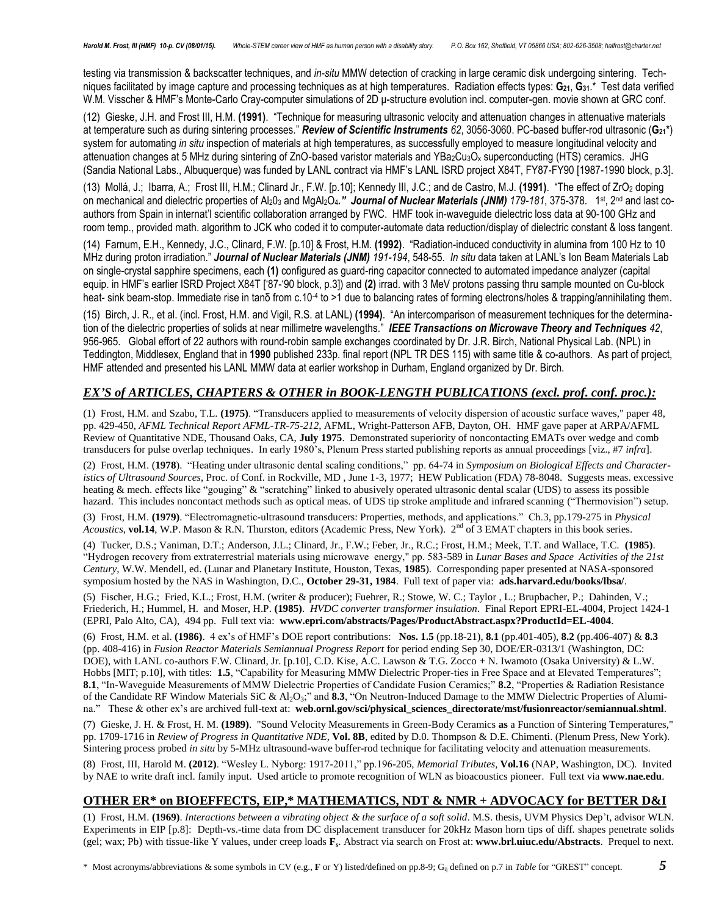testing via transmission & backscatter techniques, and *in-situ* MMW detection of cracking in large ceramic disk undergoing sintering. Techniques facilitated by image capture and processing techniques as at high temperatures. Radiation effects types: **G21**, **G31**.\* Test data verified W.M. Visscher & HMF's Monte-Carlo Cray-computer simulations of 2D μ-structure evolution incl. computer-gen. movie shown at GRC conf.

(12) Gieske, J.H. and Frost III, H.M. **(1991)**. "Technique for measuring ultrasonic velocity and attenuation changes in attenuative materials at temperature such as during sintering processes." *Review of Scientific Instruments 62*, 3056-3060. PC-based buffer-rod ultrasonic (**G21**\*) system for automating *in situ* inspection of materials at high temperatures, as successfully employed to measure longitudinal velocity and attenuation changes at 5 MHz during sintering of ZnO-based varistor materials and YBa<sub>2</sub>Cu<sub>3</sub>O<sub>x</sub> superconducting (HTS) ceramics. JHG (Sandia National Labs., Albuquerque) was funded by LANL contract via HMF's LANL ISRD project X84T, FY87-FY90 [1987-1990 block, p.3].

(13) Mollá, J.; Ibarra, A.; Frost III, H.M.; Clinard Jr., F.W. [p.10]; Kennedy III, J.C.; and de Castro, M.J. **(1991)**. "The effect of ZrO<sup>2</sup> doping on mechanical and dielectric properties of Al<sub>2</sub>0<sub>3</sub> and MgAl<sub>2</sub>O4." Journal of Nuclear Materials (JNM) 179-181, 375-378. 1st, 2<sup>nd</sup> and last coauthors from Spain in internat'l scientific collaboration arranged by FWC. HMF took in-waveguide dielectric loss data at 90-100 GHz and room temp., provided math. algorithm to JCK who coded it to computer-automate data reduction/display of dielectric constant & loss tangent.

(14) Farnum, E.H., Kennedy, J.C., Clinard, F.W. [p.10] & Frost, H.M. **(1992)**. "Radiation-induced conductivity in alumina from 100 Hz to 10 MHz during proton irradiation." *Journal of Nuclear Materials (JNM) 191-194*, 548-55. *In situ* data taken at LANL's Ion Beam Materials Lab on single-crystal sapphire specimens, each **(1)** configured as guard-ring capacitor connected to automated impedance analyzer (capital equip. in HMF's earlier ISRD Project X84T ['87-'90 block, p.3]) and **(2)** irrad. with 3 MeV protons passing thru sample mounted on Cu-block heat- sink beam-stop. Immediate rise in tanδ from c.10-4 to >1 due to balancing rates of forming electrons/holes & trapping/annihilating them.

(15) Birch, J. R., et al. (incl. Frost, H.M. and Vigil, R.S. at LANL) **(1994)**. "An intercomparison of measurement techniques for the determination of the dielectric properties of solids at near millimetre wavelengths." *IEEE Transactions on Microwave Theory and Techniques 42*, 956-965. Global effort of 22 authors with round-robin sample exchanges coordinated by Dr. J.R. Birch, National Physical Lab. (NPL) in Teddington, Middlesex, England that in **1990** published 233p. final report (NPL TR DES 115) with same title & co-authors. As part of project, HMF attended and presented his LANL MMW data at earlier workshop in Durham, England organized by Dr. Birch.

## *EX'S of ARTICLES, CHAPTERS & OTHER in BOOK-LENGTH PUBLICATIONS (excl. prof. conf. proc.):*

(1) Frost, H.M. and Szabo, T.L. **(1975)**. "Transducers applied to measurements of velocity dispersion of acoustic surface waves," paper 48, pp. 429-450, *AFML Technical Report AFML-TR-75-212*, AFML, Wright-Patterson AFB, Dayton, OH. HMF gave paper at ARPA/AFML Review of Quantitative NDE, Thousand Oaks, CA, **July 1975**. Demonstrated superiority of noncontacting EMATs over wedge and comb transducers for pulse overlap techniques. In early 1980's, Plenum Press started publishing reports as annual proceedings [viz., #7 *infra*].

(2) Frost, H.M. (**1978**). "Heating under ultrasonic dental scaling conditions," pp. 64-74 in *Symposium on Biological Effects and Characteristics of Ultrasound Sources*, Proc. of Conf. in Rockville, MD , June 1-3, 1977; HEW Publication (FDA) 78-8048. Suggests meas. excessive heating & mech. effects like "gouging" & "scratching" linked to abusively operated ultrasonic dental scalar (UDS) to assess its possible hazard. This includes noncontact methods such as optical meas. of UDS tip stroke amplitude and infrared scanning ("Thermovision") setup.

(3) Frost, H.M. **(1979)**. "Electromagnetic-ultrasound transducers: Properties, methods, and applications." Ch.3, pp.179-275 in *Physical Acoustics*, **vol.14**, W.P. Mason & R.N. Thurston, editors (Academic Press, New York). 2<sup>nd</sup> of 3 EMAT chapters in this book series.

(4) Tucker, D.S.; Vaniman, D.T.; Anderson, J.L.; Clinard, Jr., F.W.; Feber, Jr., R.C.; Frost, H.M.; Meek, T.T. and Wallace, T.C. **(1985)**. "Hydrogen recovery from extraterrestrial materials using microwave energy," pp. 583-589 in *Lunar Bases and Space Activities of the 21st Century*, W.W. Mendell, ed. (Lunar and Planetary Institute, Houston, Texas, **1985**). Corresponding paper presented at NASA-sponsored symposium hosted by the NAS in Washington, D.C., **October 29-31, 1984**. Full text of paper via: **ads.harvard.edu/books/lbsa/**.

(5) Fischer, H.G.; Fried, K.L.; Frost, H.M. (writer & producer); Fuehrer, R.; Stowe, W. C.; Taylor , L.; Brupbacher, P.; Dahinden, V.; Friederich, H.; Hummel, H. and Moser, H.P. **(1985)**. *HVDC converter transformer insulation*. Final Report EPRI-EL-4004, Project 1424-1 (EPRI, Palo Alto, CA), 494 pp. Full text via: **www.epri.com/abstracts/Pages/ProductAbstract.aspx?ProductId=EL-4004**.

(6) Frost, H.M. et al. **(1986)**. 4 ex's of HMF's DOE report contributions: **Nos. 1.5** (pp.18-21), **8.1** (pp.401-405), **8.2** (pp.406-407) & **8.3** (pp. 408-416) in *Fusion Reactor Materials Semiannual Progress Report* for period ending Sep 30, DOE/ER-0313/1 (Washington, DC: DOE), with LANL co-authors F.W. Clinard, Jr. [p.10], C.D. Kise, A.C. Lawson & T.G. Zocco **+** N. Iwamoto (Osaka University) & L.W. Hobbs [MIT; p.10], with titles: 1.5, "Capability for Measuring MMW Dielectric Proper-ties in Free Space and at Elevated Temperatures"; **8.1**, "In-Waveguide Measurements of MMW Dielectric Properties of Candidate Fusion Ceramics;" **8.2**, "Properties & Radiation Resistance of the Candidate RF Window Materials SiC & Al<sub>2</sub>O<sub>3</sub>;" and 8.3, "On Neutron-Induced Damage to the MMW Dielectric Properties of Alumina." These & other ex's are archived full-text at: **web.ornl.gov/sci/physical\_sciences\_directorate/mst/fusionreactor/semiannual.shtml**.

(7) Gieske, J. H. & Frost, H. M. **(1989)**. "Sound Velocity Measurements in Green-Body Ceramics **as** a Function of Sintering Temperatures," pp. 1709-1716 in *Review of Progress in Quantitative NDE,* **Vol. 8B**, edited by D.0. Thompson & D.E. Chimenti. (Plenum Press, New York). Sintering process probed *in situ* by 5-MHz ultrasound-wave buffer-rod technique for facilitating velocity and attenuation measurements.

(8) Frost, III, Harold M. **(2012)**. "Wesley L. Nyborg: 1917-2011," pp.196-205, *Memorial Tributes*, **Vol.16** (NAP, Washington, DC). Invited by NAE to write draft incl. family input. Used article to promote recognition of WLN as bioacoustics pioneer. Full text via **www.nae.edu**.

# **OTHER ER\* on BIOEFFECTS, EIP,\* MATHEMATICS, NDT & NMR + ADVOCACY for BETTER D&I**

(1) Frost, H.M. **(1969)**. *Interactions between a vibrating object & the surface of a soft solid*. M.S. thesis, UVM Physics Dep't, advisor WLN. Experiments in EIP [p.8]: Depth-vs.-time data from DC displacement transducer for 20kHz Mason horn tips of diff. shapes penetrate solids (gel; wax; Pb) with tissue-like Y values, under creep loads **F<sup>s</sup>** . Abstract via search on Frost at: **www.brl.uiuc.edu/Abstracts**. Prequel to next.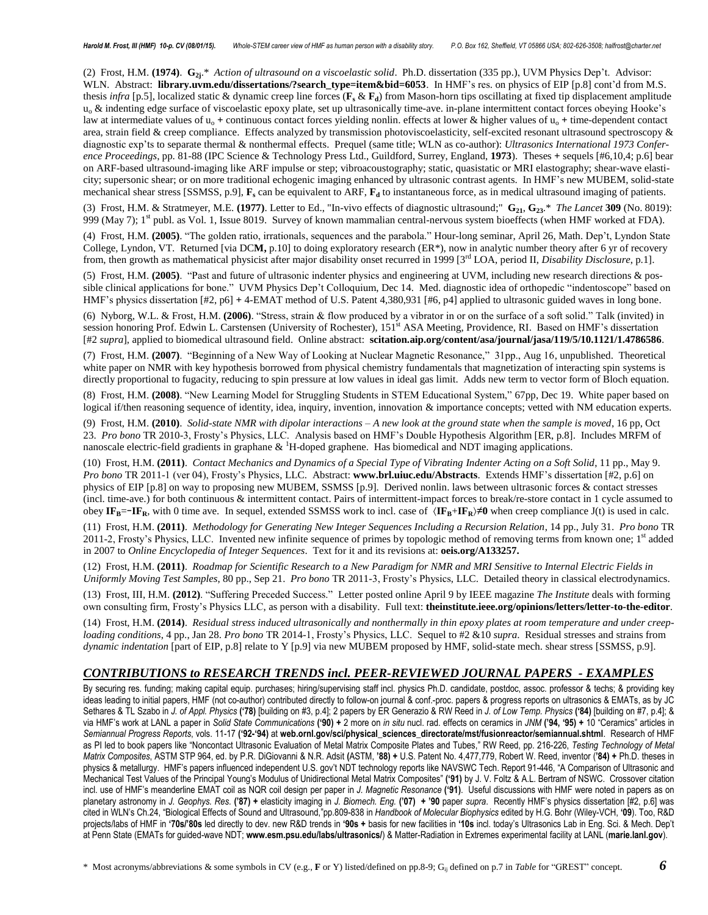(2) Frost, H.M. **(1974)**. **G2j**.\* *Action of ultrasound on a viscoelastic solid*. Ph.D. dissertation (335 pp.), UVM Physics Dep't. Advisor: WLN. Abstract: **library.uvm.edu/dissertations/?search\_type=item&bid=6053**. In HMF's res. on physics of EIP [p.8] cont'd from M.S. thesis *infra* [p.5], localized static & dynamic creep line forces ( $\mathbf{F}_s \& \mathbf{F}_d$ ) from Mason-horn tips oscillating at fixed tip displacement amplitude u<sub>o</sub> & indenting edge surface of viscoelastic epoxy plate, set up ultrasonically time-ave. in-plane intermittent contact forces obeying Hooke's law at intermediate values of u<sub>o</sub> + continuous contact forces yielding nonlin. effects at lower & higher values of u<sub>o</sub> + time-dependent contact area, strain field & creep compliance. Effects analyzed by transmission photoviscoelasticity, self-excited resonant ultrasound spectroscopy & diagnostic exp'ts to separate thermal & nonthermal effects. Prequel (same title; WLN as co-author): *Ultrasonics International 1973 Conference Proceedings*, pp. 81-88 (IPC Science & Technology Press Ltd., Guildford, Surrey, England, **1973**). Theses **+** sequels [#6,10,4; p.6] bear on ARF-based ultrasound-imaging like ARF impulse or step; vibroacoustography; static, quasistatic or MRI elastography; shear-wave elasticity; supersonic shear; or on more traditional echogenic imaging enhanced by ultrasonic contrast agents. In HMF's new MUBEM, solid-state mechanical shear stress [SSMSS, p.9], **F<sup>s</sup>** can be equivalent to ARF, **F<sup>d</sup>** to instantaneous force, as in medical ultrasound imaging of patients.

(3) Frost, H.M. & Stratmeyer, M.E. **(1977)**. Letter to Ed., "In-vivo effects of diagnostic ultrasound;" **G21**, **G23**.\* *The Lancet* **309** (No. 8019): 999 (May 7); 1<sup>st</sup> publ. as Vol. 1, Issue 8019. Survey of known mammalian central-nervous system bioeffects (when HMF worked at FDA).

(4) Frost, H.M. **(2005)**. "The golden ratio, irrationals, sequences and the parabola." Hour-long seminar, April 26, Math. Dep't, Lyndon State College, Lyndon, VT. Returned [via DC**M,** p.10] to doing exploratory research (ER\*), now in analytic number theory after 6 yr of recovery from, then growth as mathematical physicist after major disability onset recurred in 1999 [3rd LOA, period II, *Disability Disclosure*, p.1].

(5) Frost, H.M. **(2005)**. "Past and future of ultrasonic indenter physics and engineering at UVM, including new research directions & possible clinical applications for bone." UVM Physics Dep't Colloquium, Dec 14. Med. diagnostic idea of orthopedic "indentoscope" based on HMF's physics dissertation [#2, p6] **+** 4-EMAT method of U.S. Patent 4,380,931 [#6, p4] applied to ultrasonic guided waves in long bone.

(6) Nyborg, W.L. & Frost, H.M. **(2006)**. "Stress, strain & flow produced by a vibrator in or on the surface of a soft solid." Talk (invited) in session honoring Prof. Edwin L. Carstensen (University of Rochester), 151<sup>st</sup> ASA Meeting, Providence, RI. Based on HMF's dissertation [#2 *supra*], applied to biomedical ultrasound field. Online abstract: **scitation.aip.org/content/asa/journal/jasa/119/5/10.1121/1.4786586**.

(7) Frost, H.M. **(2007)**. "Beginning of a New Way of Looking at Nuclear Magnetic Resonance," 31pp., Aug 16, unpublished. Theoretical white paper on NMR with key hypothesis borrowed from physical chemistry fundamentals that magnetization of interacting spin systems is directly proportional to fugacity, reducing to spin pressure at low values in ideal gas limit. Adds new term to vector form of Bloch equation.

(8) Frost, H.M. **(2008)**. "New Learning Model for Struggling Students in STEM Educational System," 67pp, Dec 19. White paper based on logical if/then reasoning sequence of identity, idea, inquiry, invention, innovation & importance concepts; vetted with NM education experts.

(9) Frost, H.M. **(2010)**. *Solid-state NMR with dipolar interactions – A new look at the ground state when the sample is moved*, 16 pp, Oct 23. *Pro bono* TR 2010-3, Frosty's Physics, LLC. Analysis based on HMF's Double Hypothesis Algorithm [ER, p.8]. Includes MRFM of nanoscale electric-field gradients in graphane  $\&$  <sup>1</sup>H-doped graphene. Has biomedical and NDT imaging applications.

(10) Frost, H.M. **(2011)**. *Contact Mechanics and Dynamics of a Special Type of Vibrating Indenter Acting on a Soft Solid*, 11 pp., May 9. *Pro bono* TR 2011-1 (ver 04), Frosty's Physics, LLC. Abstract: **www.brl.uiuc.edu/Abstracts**. Extends HMF's dissertation [#2, p.6] on physics of EIP [p.8] on way to proposing new MUBEM, SSMSS [p.9]. Derived nonlin. laws between ultrasonic forces & contact stresses (incl. time-ave.) for both continuous & intermittent contact. Pairs of intermittent-impact forces to break/re-store contact in 1 cycle assumed to obey  $IF_B$ =− $IF_R$ , with 0 time ave. In sequel, extended SSMSS work to incl. case of  $\langle IF_B+IF_R \rangle \neq 0$  when creep compliance J(t) is used in calc.

(11) Frost, H.M. **(2011)**. *Methodology for Generating New Integer Sequences Including a Recursion Relation*, 14 pp., July 31. *Pro bono* TR 2011-2, Frosty's Physics, LLC. Invented new infinite sequence of primes by topologic method of removing terms from known one; 1<sup>st</sup> added in 2007 to *Online Encyclopedia of Integer Sequences*. Text for it and its revisions at: **oeis.org/A133257.**

(12) Frost, H.M. **(2011)**. *Roadmap for Scientific Research to a New Paradigm for NMR and MRI Sensitive to Internal Electric Fields in Uniformly Moving Test Samples*, 80 pp., Sep 21. *Pro bono* TR 2011-3, Frosty's Physics, LLC. Detailed theory in classical electrodynamics.

(13) Frost, III, H.M. **(2012)**. "Suffering Preceded Success." Letter posted online April 9 by IEEE magazine *The Institute* deals with forming own consulting firm, Frosty's Physics LLC, as person with a disability. Full text: **[theinstitute.ieee.org/opinions/letters/letter-to-the-editor](http://theinstitute.ieee.org/opinions/letters/letter-to-the-editor)**.

(14) Frost, H.M. **(2014)**. *Residual stress induced ultrasonically and nonthermally in thin epoxy plates at room temperature and under creeploading conditions*, 4 pp., Jan 28. *Pro bono* TR 2014-1, Frosty's Physics, LLC. Sequel to #2 &10 *supra*. Residual stresses and strains from *dynamic indentation* [part of EIP, p.8] relate to Y [p.9] via new MUBEM proposed by HMF, solid-state mech. shear stress [SSMSS, p.9].

### *CONTRIBUTIONS to RESEARCH TRENDS incl. PEER-REVIEWED JOURNAL PAPERS - EXAMPLES*

By securing res. funding; making capital equip. purchases; hiring/supervising staff incl. physics Ph.D. candidate, postdoc, assoc. professor & techs; & providing key ideas leading to initial papers, HMF (not co-author) contributed directly to follow-on journal & conf.-proc. papers & progress reports on ultrasonics & EMATs, as by JC Sethares & TL Szabo in J. of Appl. Physics ('78) [building on #3, p.4]; 2 papers by ER Generazio & RW Reed in J. of Low Temp. Physics ('84) [building on #7, p.4]; & via HMF's work at LANL a paper in Solid State Communications ('90) + 2 more on in situ nucl. rad. effects on ceramics in JNM ('94, '95) + 10 "Ceramics" articles in *Semiannual Progress Reports*, vols. 11-17 **('92-'94)** at **web.ornl.gov/sci/physical\_sciences\_directorate/mst/fusionreactor/semiannual.shtml**. Research of HMF as PI led to book papers like "Noncontact Ultrasonic Evaluation of Metal Matrix Composite Plates and Tubes," RW Reed, pp. 216-226, *Testing Technology of Metal Matrix Composites*, ASTM STP 964, ed. by P.R. DiGiovanni & N.R. Adsit **(**ASTM, **'88) +** U.S. Patent No. 4,477,779, Robert W. Reed, inventor (**'84) +** Ph.D. theses in physics & metallurgy. HMF's papers influenced independent U.S. gov't NDT technology reports like NAVSWC Tech. Report 91-446, "A Comparison of Ultrasonic and Mechanical Test Values of the Principal Young's Modulus of Unidirectional Metal Matrix Composites" **('91)** by J. V. Foltz & A.L. Bertram of NSWC. Crossover citation incl. use of HMF's meanderline EMAT coil as NQR coil design per paper in *J. Magnetic Resonance* **('91)**. Useful discussions with HMF were noted in papers as on planetary astronomy in J. Geophys. Res. ('87) + elasticity imaging in J. Biomech. Eng. ('07) + '90 paper supra. Recently HMF's physics dissertation [#2, p.6] was cited in WLN's Ch.24, "Biological Effects of Sound and Ultrasound,"pp.809-838 in *Handbook of Molecular Biophysics* edited by H.G. Bohr (Wiley-VCH, **'09**). Too, R&D projects/labs of HMF in '70s/'80s led directly to dev. new R&D trends in '90s + basis for new facilities in '10s incl. today's Ultrasonics Lab in Eng. Sci. & Mech. Dep't at Penn State (EMATs for guided-wave NDT; **www.esm.psu.edu/labs/ultrasonics/**) & Matter-Radiation in Extremes experimental facility at LANL (**marie.lanl.gov**).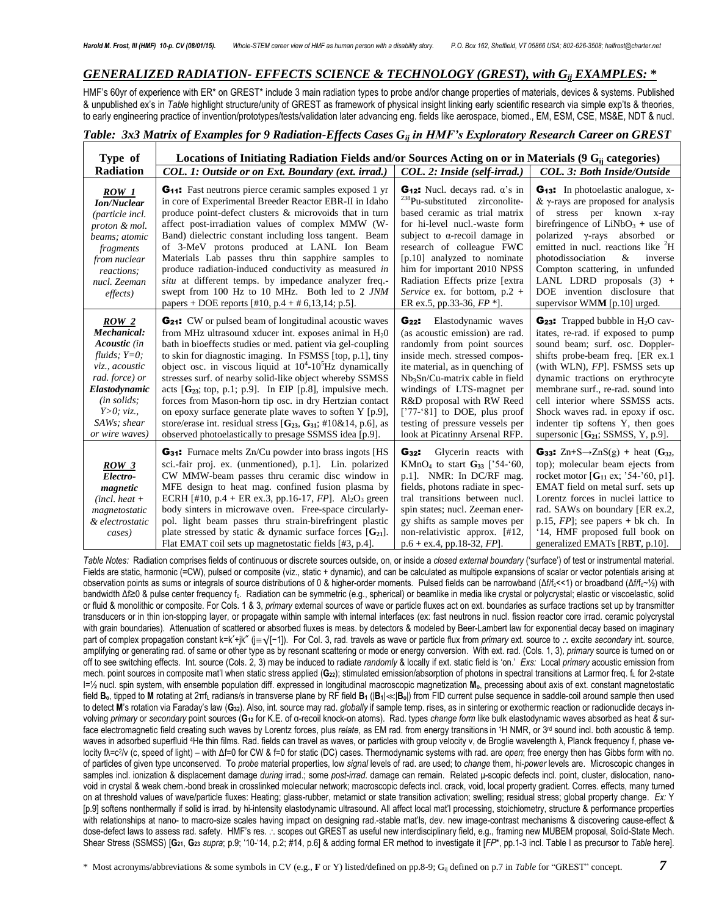# *GENERALIZED RADIATION- EFFECTS SCIENCE & TECHNOLOGY (GREST), with Gij EXAMPLES:* **\***

HMF's 60yr of experience with ER\* on GREST\* include 3 main radiation types to probe and/or change properties of materials, devices & systems. Published & unpublished ex's in *Table* highlight structure/unity of GREST as framework of physical insight linking early scientific research via simple exp'ts & theories, to early engineering practice of invention/prototypes/tests/validation later advancing eng. fields like aerospace, biomed., EM, ESM, CSE, MS&E, NDT & nucl.

# *Table: 3x3 Matrix of Examples for 9 Radiation-Effects Cases Gij in HMF's Exploratory Research Career on GREST*

| Type of                                                                                                                                                                               | Locations of Initiating Radiation Fields and/or Sources Acting on or in Materials $(9 G_{ii}$ categories)                                                                                                                                                                                                                                                                                                                                                                                                                                                                                                                                                                                                                           |                                                                                                                                                                                                                                                                                                                                                                                                                 |                                                                                                                                                                                                                                                                                                                                                                                                                                         |
|---------------------------------------------------------------------------------------------------------------------------------------------------------------------------------------|-------------------------------------------------------------------------------------------------------------------------------------------------------------------------------------------------------------------------------------------------------------------------------------------------------------------------------------------------------------------------------------------------------------------------------------------------------------------------------------------------------------------------------------------------------------------------------------------------------------------------------------------------------------------------------------------------------------------------------------|-----------------------------------------------------------------------------------------------------------------------------------------------------------------------------------------------------------------------------------------------------------------------------------------------------------------------------------------------------------------------------------------------------------------|-----------------------------------------------------------------------------------------------------------------------------------------------------------------------------------------------------------------------------------------------------------------------------------------------------------------------------------------------------------------------------------------------------------------------------------------|
| <b>Radiation</b>                                                                                                                                                                      | COL. 1: Outside or on Ext. Boundary (ext. irrad.)                                                                                                                                                                                                                                                                                                                                                                                                                                                                                                                                                                                                                                                                                   | COL. 2: Inside (self-irrad.)                                                                                                                                                                                                                                                                                                                                                                                    | <b>COL. 3: Both Inside/Outside</b>                                                                                                                                                                                                                                                                                                                                                                                                      |
| ROW 1<br><b><i>Ion/Nuclear</i></b><br>(particle incl.<br>proton & mol.<br>beams; atomic<br>fragments<br>from nuclear<br>reactions:<br>nucl. Zeeman<br>effects)                        | <b>G<sub>11</sub>:</b> Fast neutrons pierce ceramic samples exposed 1 yr<br>in core of Experimental Breeder Reactor EBR-II in Idaho<br>produce point-defect clusters & microvoids that in turn<br>affect post-irradiation values of complex MMW (W-<br>Band) dielectric constant including loss tangent. Beam<br>of 3-MeV protons produced at LANL Ion Beam<br>Materials Lab passes thru thin sapphire samples to<br>produce radiation-induced conductivity as measured in<br>situ at different temps. by impedance analyzer freq.-<br>swept from 100 Hz to 10 MHz. Both led to 2 JNM<br>papers + DOE reports [#10, p.4 + # 6,13,14; p.5].                                                                                          | <b>G<sub>12</sub>:</b> Nucl. decays rad. $\alpha$ 's in<br><sup>238</sup> Pu-substituted zirconolite-<br>based ceramic as trial matrix<br>for hi-level nucl.-waste form<br>subject to $\alpha$ -recoil damage in<br>research of colleague FWC<br>[p.10] analyzed to nominate<br>him for important 2010 NPSS<br>Radiation Effects prize [extra<br>Service ex. for bottom, $p.2 +$<br>ER ex.5, pp.33-36, $FP$ *]. | <b>G<sub>13</sub>:</b> In photoelastic analogue, x-<br>$\&$ $\gamma$ -rays are proposed for analysis<br>of stress per known x-ray<br>birefringence of $LiNbO3 +$ use of<br>polarized $\gamma$ -rays absorbed or<br>emitted in nucl. reactions like <sup>2</sup> H<br>photodissociation<br>&<br>inverse<br>Compton scattering, in unfunded<br>LANL LDRD proposals (3) +<br>DOE invention disclosure that<br>supervisor WMM [p.10] urged. |
| ROW <sub>2</sub><br>Mechanical:<br>Acoustic (in<br>fluids; $Y=0$ ;<br>viz., acoustic<br>rad. force) or<br>Elastodynamic<br>(in solids;<br>Y>0; viz.,<br>SAWs; shear<br>or wire waves) | <b>G<sub>21</sub>:</b> CW or pulsed beam of longitudinal acoustic waves<br>from MHz ultrasound xducer int. exposes animal in $H20$<br>bath in bioeffects studies or med. patient via gel-coupling<br>to skin for diagnostic imaging. In FSMSS [top, p.1], tiny<br>object osc. in viscous liquid at $10^4$ -10 <sup>5</sup> Hz dynamically<br>stresses surf. of nearby solid-like object whereby SSMSS<br>acts $[G_{23}]$ ; top, p.1; p.9]. In EIP [p.8], impulsive mech.<br>forces from Mason-horn tip osc. in dry Hertzian contact<br>on epoxy surface generate plate waves to soften Y [p.9],<br>store/erase int. residual stress $[G_{23}, G_{31}; #10&814, p.6]$ , as<br>observed photoelastically to presage SSMSS idea [p.9]. | G <sub>22</sub> : Elastodynamic waves<br>(as acoustic emission) are rad.<br>randomly from point sources<br>inside mech. stressed compos-<br>ite material, as in quenching of<br>$Nb3Sn/Cu-matrix$ cable in field<br>windings of LTS-magnet per<br>R&D proposal with RW Reed<br>['77-'81] to DOE, plus proof<br>testing of pressure vessels per<br>look at Picatinny Arsenal RFP.                                | $G_{23}$ : Trapped bubble in H <sub>2</sub> O cav-<br>itates, re-rad. if exposed to pump<br>sound beam; surf. osc. Doppler-<br>shifts probe-beam freq. [ER ex.1]<br>(with WLN), FP. FSMSS sets up<br>dynamic tractions on erythrocyte<br>membrane surf., re-rad. sound into<br>cell interior where SSMSS acts.<br>Shock waves rad. in epoxy if osc.<br>indenter tip softens Y, then goes<br>supersonic $[G21; SSMSS, Y, p.9]$ .         |
| ROW <sub>3</sub><br>Electro-<br>magnetic<br>$(incl. heat +$<br>magnetostatic<br>& electrostatic<br>cases)                                                                             | <b>G<sub>31</sub>:</b> Furnace melts Zn/Cu powder into brass ingots [HS<br>sci.-fair proj. ex. (unmentioned), p.1]. Lin. polarized<br>CW MMW-beam passes thru ceramic disc window in<br>MFE design to heat mag. confined fusion plasma by<br>ECRH [#10, p.4 + ER ex.3, pp.16-17, $FP$ ]. Al <sub>2</sub> O <sub>3</sub> green<br>body sinters in microwave oven. Free-space circularly-<br>pol. light beam passes thru strain-birefringent plastic<br>plate stressed by static & dynamic surface forces $[G_{21}]$ .<br>Flat EMAT coil sets up magnetostatic fields [#3, p.4].                                                                                                                                                      | Glycerin reacts with<br>$G_{32}$ :<br>KMnO <sub>4</sub> to start $G_{33}$ ['54-'60,<br>p.1]. NMR: In DC/RF mag.<br>fields, photons radiate in spec-<br>tral transitions between nucl.<br>spin states; nucl. Zeeman ener-<br>gy shifts as sample moves per<br>non-relativistic approx. [#12,<br>$p.6 + ex.4$ , pp.18-32, FP.                                                                                     | G <sub>33</sub> : $Zn+S\rightarrow ZnS(g)$ + heat $(G_{32},$<br>top); molecular beam ejects from<br>rocket motor $[G_{11} \text{ ex}; '54-'60, p1].$<br>EMAT field on metal surf. sets up<br>Lorentz forces in nuclei lattice to<br>rad. SAWs on boundary [ER ex.2,<br>p.15, $FP$ ; see papers + bk ch. In<br>'14, HMF proposed full book on<br>generalized EMATs [RBT, p.10].                                                          |

*Table Notes:* Radiation comprises fields of continuous or discrete sources outside, on, or inside a *closed external boundary* ('surface') of test or instrumental material. Fields are static, harmonic (=CW), pulsed or composite (viz., static + dynamic), and can be calculated as multipole expansions of scalar or vector potentials arising at observation points as sums or integrals of source distributions of 0 & higher-order moments. Pulsed fields can be narrowband (Δf/fc<<1) or broadband (Δf/fc~½) with bandwidth Δf≥0 & pulse center frequency fc. Radiation can be symmetric (e.g., spherical) or beamlike in media like crystal or polycrystal; elastic or viscoelastic, solid or fluid & monolithic or composite. For Cols. 1 & 3, *primary* external sources of wave or particle fluxes act on ext. boundaries as surface tractions set up by transmitter transducers or in thin ion-stopping layer, or propagate within sample with internal interfaces (ex: fast neutrons in nucl. fission reactor core irrad. ceramic polycrystal with grain boundaries). Attenuation of scattered or absorbed fluxes is meas. by detectors & modeled by Beer-Lambert law for exponential decay based on imaginary part of complex propagation constant k=k'+jk" (j≡√[-1]). For Col. 3, rad. travels as wave or particle flux from *primary* ext. source to ∴ excite *secondary* int. source, amplifying or generating rad. of same or other type as by resonant scattering or mode or energy conversion. With ext. rad. (Cols. 1, 3), *primary* source is turned on or off to see switching effects. Int. source (Cols. 2, 3) may be induced to radiate *randomly* & locally if ext. static field is 'on.' *Exs:* Local *primary* acoustic emission from mech. point sources in composite mat'l when static stress applied (**G22**); stimulated emission/absorption of photons in spectral transitions at Larmor freq. f<sup>L</sup> for 2-state I=½ nucl. spin system, with ensemble population diff. expressed in longitudinal macroscopic magnetization **Mo**, precessing about axis of ext. constant magnetostatic field  $B_0$ , tipped to M rotating at 2 $\pi f_L$  radians/s in transverse plane by RF field  $B_1$  ( $|B_1| \ll |B_0|$ ) from FID current pulse sequence in saddle-coil around sample then used to detect **M**'s rotation via Faraday's law (**G32**). Also, int. source may rad. *globally* if sample temp. rises, as in sintering or exothermic reaction or radionuclide decays involving *primary* or *secondary* point sources (**G<sup>12</sup>** for K.E. of α-recoil knock-on atoms). Rad. types *change form* like bulk elastodynamic waves absorbed as heat *&* surface electromagnetic field creating such waves by Lorentz forces, plus *relate*, as EM rad. from energy transitions in 1H NMR, or 3<sup>rd</sup> sound incl. both acoustic & temp. waves in adsorbed superfluid <sup>4</sup>He thin films. Rad. fields can travel as waves, or particles with group velocity ν, de Broglie wavelength λ, Planck frequency f, phase velocity fλ=c<sup>2</sup>/v (c, speed of light) – with Δf=0 for CW & f=0 for static (DC) cases. Thermodynamic systems with rad. are *open*; free energy then has Gibbs form with no. of particles of given type unconserved. To *probe* material properties, low *signal* levels of rad. are used; to *change* them, hi-*power* levels are. Microscopic changes in samples incl. ionization & displacement damage *during* irrad.; some *post-irrad.* damage can remain. Related μ-scopic defects incl. point, cluster, dislocation, nanovoid in crystal & weak chem.-bond break in crosslinked molecular network; macroscopic defects incl. crack, void, local property gradient. Corres. effects, many turned on at threshold values of wave/particle fluxes: Heating; glass-rubber, metamict or state transition activation; swelling; residual stress; global property change. *Ex:* Y [p.9] softens nonthermally if solid is irrad. by hi-intensity elastodynamic ultrasound. All affect local mat'l processing, stoichiometry, structure & performance properties with relationships at nano- to macro-size scales having impact on designing rad.-stable mat'ls, dev. new image-contrast mechanisms & discovering cause-effect & dose-defect laws to assess rad. safety. HMF's res. . scopes out GREST as useful new interdisciplinary field, e.g., framing new MUBEM proposal, Solid-State Mech. Shear Stress (SSMSS) [**G21**, **G<sup>23</sup>** *supra*; p.9; '10-'14, p.2; #14, p.6] & adding formal ER method to investigate it [*FP*\*, pp.1-3 incl. Table I as precursor to *Table* here].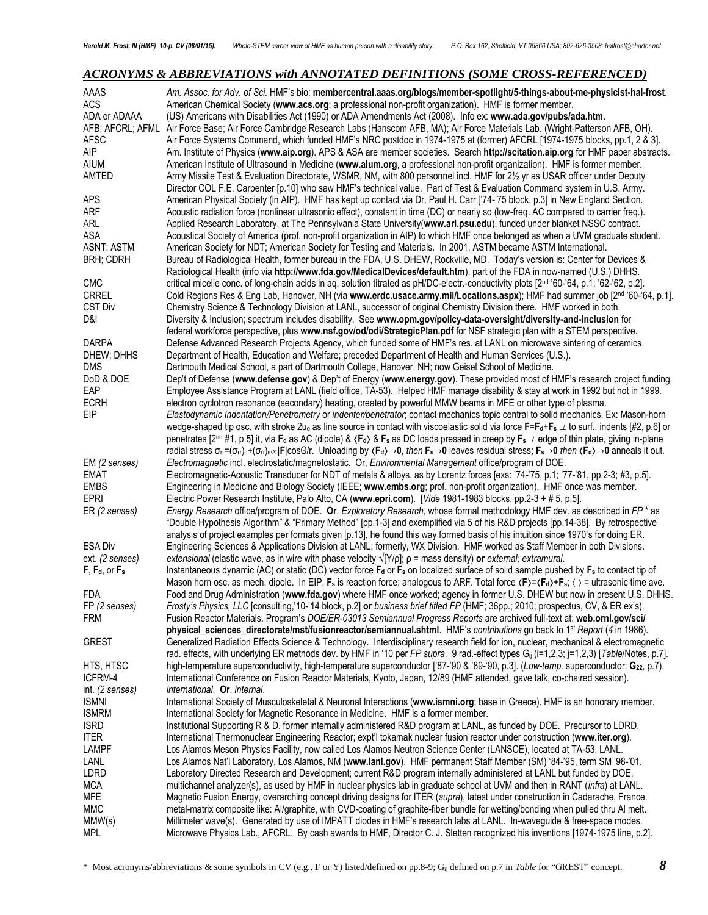# *ACRONYMS & ABBREVIATIONS with ANNOTATED DEFINITIONS (SOME CROSS-REFERENCED)*

| AAAS                        | Am. Assoc. for Adv. of Sci. HMF's bio: membercentral.aaas.org/blogs/member-spotlight/5-things-about-me-physicist-hal-frost.                                                                                                                                               |
|-----------------------------|---------------------------------------------------------------------------------------------------------------------------------------------------------------------------------------------------------------------------------------------------------------------------|
| ACS                         | American Chemical Society (www.acs.org; a professional non-profit organization). HMF is former member.                                                                                                                                                                    |
| ADA or ADAAA                | (US) Americans with Disabilities Act (1990) or ADA Amendments Act (2008). Info ex: www.ada.gov/pubs/ada.htm.                                                                                                                                                              |
| AFB; AFCRL; AFML            | Air Force Base; Air Force Cambridge Research Labs (Hanscom AFB, MA); Air Force Materials Lab. (Wright-Patterson AFB, OH).                                                                                                                                                 |
| <b>AFSC</b>                 | Air Force Systems Command, which funded HMF's NRC postdoc in 1974-1975 at (former) AFCRL [1974-1975 blocks, pp.1, 2 & 3].                                                                                                                                                 |
| AIP                         | Am. Institute of Physics (www.aip.org). APS & ASA are member societies. Search http://scitation.aip.org for HMF paper abstracts.                                                                                                                                          |
| <b>AIUM</b>                 | American Institute of Ultrasound in Medicine (www.aium.org, a professional non-profit organization). HMF is former member.                                                                                                                                                |
| AMTED                       | Army Missile Test & Evaluation Directorate, WSMR, NM, with 800 personnel incl. HMF for 2½ yr as USAR officer under Deputy                                                                                                                                                 |
|                             | Director COL F.E. Carpenter [p.10] who saw HMF's technical value. Part of Test & Evaluation Command system in U.S. Army.                                                                                                                                                  |
| <b>APS</b>                  | American Physical Society (in AIP). HMF has kept up contact via Dr. Paul H. Carr ['74-'75 block, p.3] in New England Section.                                                                                                                                             |
| ARF                         | Acoustic radiation force (nonlinear ultrasonic effect), constant in time (DC) or nearly so (low-freq. AC compared to carrier freq.).                                                                                                                                      |
| ARL                         | Applied Research Laboratory, at The Pennsylvania State University(www.arl.psu.edu), funded under blanket NSSC contract.                                                                                                                                                   |
| ASA                         | Acoustical Society of America (prof. non-profit organization in AIP) to which HMF once belonged as when a UVM graduate student.                                                                                                                                           |
| ASNT; ASTM                  | American Society for NDT; American Society for Testing and Materials. In 2001, ASTM became ASTM International.                                                                                                                                                            |
| <b>BRH; CDRH</b>            | Bureau of Radiological Health, former bureau in the FDA, U.S. DHEW, Rockville, MD. Today's version is: Center for Devices &<br>Radiological Health (info via http://www.fda.gov/MedicalDevices/default.htm), part of the FDA in now-named (U.S.) DHHS.                    |
| <b>CMC</b>                  | critical micelle conc. of long-chain acids in aq. solution titrated as pH/DC-electr.-conductivity plots [2 <sup>nd</sup> '60-'64, p.1; '62-'62, p.2].                                                                                                                     |
| <b>CRREL</b>                | Cold Regions Res & Eng Lab, Hanover, NH (via www.erdc.usace.army.mil/Locations.aspx); HMF had summer job [2nd '60-'64, p.1].                                                                                                                                              |
| <b>CST Div</b>              | Chemistry Science & Technology Division at LANL, successor of original Chemistry Division there. HMF worked in both.                                                                                                                                                      |
| D&I                         | Diversity & Inclusion; spectrum includes disability. See www.opm.gov/policy-data-oversight/diversity-and-inclusion for                                                                                                                                                    |
|                             | federal workforce perspective, plus www.nsf.gov/od/odi/StrategicPlan.pdf for NSF strategic plan with a STEM perspective.                                                                                                                                                  |
| <b>DARPA</b>                | Defense Advanced Research Projects Agency, which funded some of HMF's res. at LANL on microwave sintering of ceramics.                                                                                                                                                    |
| DHEW; DHHS                  | Department of Health, Education and Welfare; preceded Department of Health and Human Services (U.S.).                                                                                                                                                                     |
| <b>DMS</b>                  | Dartmouth Medical School, a part of Dartmouth College, Hanover, NH; now Geisel School of Medicine.                                                                                                                                                                        |
| DoD & DOE                   | Dep't of Defense (www.defense.gov) & Dep't of Energy (www.energy.gov). These provided most of HMF's research project funding.                                                                                                                                             |
| EAP                         | Employee Assistance Program at LANL (field office, TA-53). Helped HMF manage disability & stay at work in 1992 but not in 1999.                                                                                                                                           |
| <b>ECRH</b>                 | electron cyclotron resonance (secondary) heating, created by powerful MMW beams in MFE or other type of plasma.                                                                                                                                                           |
| EIP                         | Elastodynamic Indentation/Penetrometry or indenter/penetrator; contact mechanics topic central to solid mechanics. Ex: Mason-horn                                                                                                                                         |
|                             | wedge-shaped tip osc. with stroke 2u <sub>0</sub> as line source in contact with viscoelastic solid via force $F = F_d + F_s \perp$ to surf., indents [#2, p.6] or                                                                                                        |
|                             | penetrates [2 <sup>nd</sup> #1, p.5] it, via F <sub>d</sub> as AC (dipole) & $\langle F_d \rangle$ & F <sub>s</sub> as DC loads pressed in creep by F <sub>s</sub> $\perp$ edge of thin plate, giving in-plane                                                            |
|                             | radial stress $\sigma_{rr} = (\sigma_{rr})_d + (\sigma_{rr})_s \propto  F  \cos\Theta/r$ . Unloading by $\langle Fa \rangle \rightarrow 0$ , then $F_s \rightarrow 0$ leaves residual stress; $F_s \rightarrow 0$ then $\langle Fa \rangle \rightarrow 0$ anneals it out. |
| EM (2 senses)               | Electromagnetic incl. electrostatic/magnetostatic. Or, Environmental Management office/program of DOE.                                                                                                                                                                    |
| <b>EMAT</b>                 | Electromagnetic-Acoustic Transducer for NDT of metals & alloys, as by Lorentz forces [exs: '74-'75, p.1; '77-'81, pp.2-3; #3, p.5].                                                                                                                                       |
| <b>EMBS</b>                 | Engineering in Medicine and Biology Society (IEEE; www.embs.org; prof. non-profit organization). HMF once was member.                                                                                                                                                     |
| <b>EPRI</b>                 | Electric Power Research Institute, Palo Alto, CA (www.epri.com). [Vide 1981-1983 blocks, pp.2-3 + # 5, p.5].                                                                                                                                                              |
| ER (2 senses)               | Energy Research office/program of DOE. Or, Exploratory Research, whose formal methodology HMF dev. as described in FP * as                                                                                                                                                |
|                             | "Double Hypothesis Algorithm" & "Primary Method" [pp.1-3] and exemplified via 5 of his R&D projects [pp.14-38]. By retrospective                                                                                                                                          |
|                             | analysis of project examples per formats given [p.13], he found this way formed basis of his intuition since 1970's for doing ER.                                                                                                                                         |
| <b>ESA Div</b>              | Engineering Sciences & Applications Division at LANL; formerly, WX Division. HMF worked as Staff Member in both Divisions.                                                                                                                                                |
| ext. (2 senses)             | extensional (elastic wave, as in wire with phase velocity $\sqrt{Y/\rho}$ ; $\rho$ = mass density) or external; extramural.                                                                                                                                               |
| F, Fd, or Fs                | Instantaneous dynamic (AC) or static (DC) vector force F <sub>d</sub> or F <sub>s</sub> on localized surface of solid sample pushed by F <sub>s</sub> to contact tip of                                                                                                   |
|                             | Mason horn osc. as mech. dipole. In EIP, F <sub>s</sub> is reaction force; analogous to ARF. Total force $\langle F \rangle = \langle F_d \rangle + F_s$ ; $\langle \rangle$ = ultrasonic time ave.                                                                       |
| <b>FDA</b>                  | Food and Drug Administration (www.fda.gov) where HMF once worked; agency in former U.S. DHEW but now in present U.S. DHHS.                                                                                                                                                |
| FP (2 senses)               | Frosty's Physics, LLC [consulting,'10-'14 block, p.2] or business brief titled FP (HMF; 36pp.; 2010; prospectus, CV, & ER ex's).                                                                                                                                          |
| FRM                         | Fusion Reactor Materials. Program's DOE/ER-03013 Semiannual Progress Reports are archived full-text at: web.ornl.gov/sci/                                                                                                                                                 |
|                             | physical_sciences_directorate/mst/fusionreactor/semiannual.shtml. HMF's contributions go back to 1 <sup>st</sup> Report (4 in 1986).                                                                                                                                      |
| <b>GREST</b>                | Generalized Radiation Effects Science & Technology. Interdisciplinary research field for ion, nuclear, mechanical & electromagnetic                                                                                                                                       |
|                             | rad. effects, with underlying ER methods dev. by HMF in '10 per FP supra. 9 rad.-effect types G <sub>ij</sub> (i=1,2,3; j=1,2,3) [Table/Notes, p.7].                                                                                                                      |
| HTS, HTSC                   | high-temperature superconductivity, high-temperature superconductor ['87-'90 & '89-'90, p.3]. (Low-temp. superconductor: G <sub>22</sub> , p.7).                                                                                                                          |
| ICFRM-4                     | International Conference on Fusion Reactor Materials, Kyoto, Japan, 12/89 (HMF attended, gave talk, co-chaired session).                                                                                                                                                  |
| int. (2 senses)             | international. Or, internal.                                                                                                                                                                                                                                              |
| <b>ISMNI</b>                | International Society of Musculoskeletal & Neuronal Interactions (www.ismni.org; base in Greece). HMF is an honorary member.                                                                                                                                              |
| <b>ISMRM</b>                | International Society for Magnetic Resonance in Medicine. HMF is a former member.                                                                                                                                                                                         |
| <b>ISRD</b>                 | Institutional Supporting R & D, former internally administered R&D program at LANL, as funded by DOE. Precursor to LDRD.<br>International Thermonuclear Engineering Reactor; expt'l tokamak nuclear fusion reactor under construction (www.iter.org).                     |
| <b>ITER</b><br><b>LAMPF</b> | Los Alamos Meson Physics Facility, now called Los Alamos Neutron Science Center (LANSCE), located at TA-53, LANL.                                                                                                                                                         |
| LANL                        | Los Alamos Nat'l Laboratory, Los Alamos, NM (www.lanl.gov). HMF permanent Staff Member (SM) '84-'95, term SM '98-'01.                                                                                                                                                     |
| LDRD                        | Laboratory Directed Research and Development; current R&D program internally administered at LANL but funded by DOE.                                                                                                                                                      |
| <b>MCA</b>                  | multichannel analyzer(s), as used by HMF in nuclear physics lab in graduate school at UVM and then in RANT (infra) at LANL.                                                                                                                                               |
| MFE                         | Magnetic Fusion Energy, overarching concept driving designs for ITER (supra), latest under construction in Cadarache, France.                                                                                                                                             |
| MMC                         | metal-matrix composite like: Al/graphite, with CVD-coating of graphite-fiber bundle for wetting/bonding when pulled thru Al melt.                                                                                                                                         |
| MMW(s)                      | Millimeter wave(s). Generated by use of IMPATT diodes in HMF's research labs at LANL. In-waveguide & free-space modes.                                                                                                                                                    |
| <b>MPL</b>                  | Microwave Physics Lab., AFCRL. By cash awards to HMF, Director C. J. Sletten recognized his inventions [1974-1975 line, p.2].                                                                                                                                             |
|                             |                                                                                                                                                                                                                                                                           |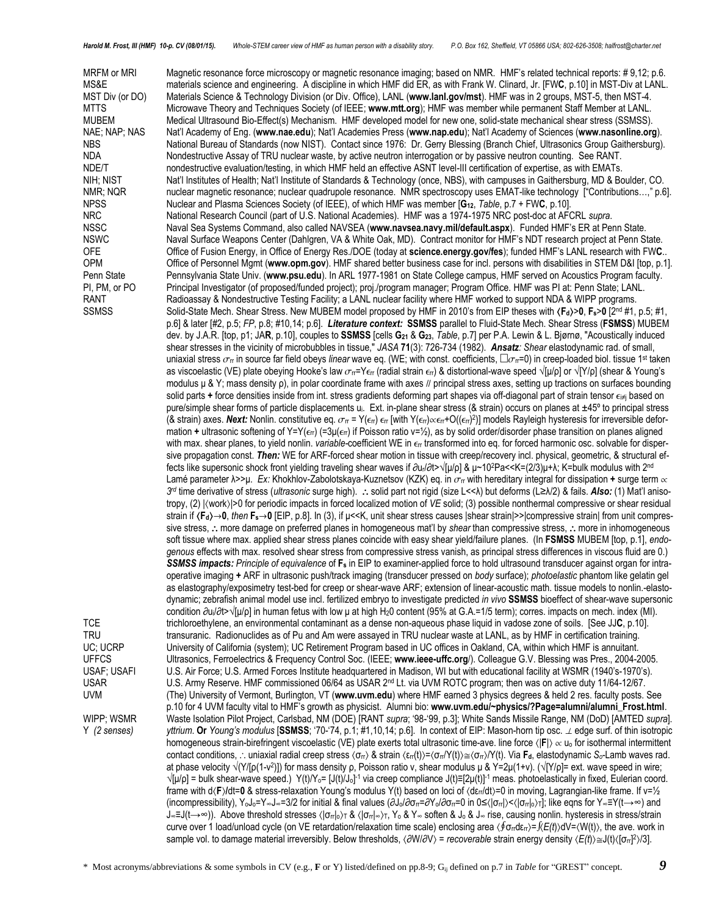NAE; NAP; NAS Nat'l Academy of Eng. (**[www.nae.edu](http://www.nae.edu/)**); Nat'l Academies Press (**www.nap.edu**); Nat'l Academy of Sciences (**www.nasonline.org**).

MRFM or MRI Magnetic resonance force microscopy or magnetic resonance imaging; based on NMR. HMF's related technical reports: #9,12; p.6. MS&E materials science and engineering. A discipline in which HMF did ER, as with Frank W. Clinard, Jr. [FW**C**, p.10] in MST-Div at LANL. MST Div (or DO) Materials Science & Technology Division (or Div. Office), LANL (**www.lanl.gov/mst**). HMF was in 2 groups, MST-5, then MST-4. MTTS Microwave Theory and Techniques Society (of IEEE; **www.mtt.org**); HMF was member while permanent Staff Member at LANL. MUBEM Medical Ultrasound Bio-Effect(s) Mechanism. HMF developed model for new one, solid-state mechanical shear stress (SSMSS).<br>NAE; NAP; NAS Nat'l Academy of Eng. (www.nae.edu); Nat'l Academies Press (www.nap.edu); Nat'l NBS National Bureau of Standards (now NIST). Contact since 1976: Dr. Gerry Blessing (Branch Chief, Ultrasonics Group Gaithersburg). NDA Nondestructive Assay of TRU nuclear waste, by active neutron interrogation or by passive neutron counting. See RANT. NDE/T nondestructive evaluation/testing, in which HMF held an effective ASNT level-III certification of expertise, as with EMATs. NIH; NIST Nat'l Institutes of Health; Nat'l Institute of Standards & Technology (once, NBS), with campuses in Gaithersburg, MD & Boulder, CO. NMR; NQR nuclear magnetic resonance; nuclear quadrupole resonance. NMR spectroscopy uses EMAT-like technology ["Contributions...," p.6]. NPSS Nuclear and Plasma Sciences Society (of IEEE), of which HMF was member [**G12**, *Table*, p.7 + FW**C**, p.10]. NRC National Research Council (part of U.S. National Academies). HMF was a 1974-1975 NRC post-doc at AFCRL *supra*. NSSC Naval Sea Systems Command, also called NAVSEA (**www.navsea.navy.mil/default.aspx**). Funded HMF's ER at Penn State. NSWC Naval Surface Weapons Center (Dahlgren, VA & White Oak, MD). Contract monitor for HMF's NDT research project at Penn State. OFE Office of Fusion Energy, in Office of Energy Res./DOE (today at **science.energy.gov/fes**); funded HMF's LANL research with FW**C**.. OPM Office of Personnel Mgmt (**www.opm.gov**). HMF shared better business case for incl. persons with disabilities in STEM D&I [top, p.1]. Penn State Pennsylvania State Univ. (**www.psu.edu**). In ARL 1977-1981 on State College campus, HMF served on Acoustics Program faculty. PI, PM, or PO Principal Investigator (of proposed/funded project); proj./program manager; Program Office. HMF was PI at: Penn State; LANL.

RANT Radioassay & Nondestructive Testing Facility; a LANL nuclear facility where HMF worked to support NDA & WIPP programs. SSMSS Solid-State Mech. Shear Stress. New MUBEM model proposed by HMF in 2010's from EIP theses with  $\langle F_d \rangle$ >0,  $F_s$ >0 [2<sup>nd</sup> #1, p.5; #1, p.6] & later [#2, p.5; *FP*, p.8; #10,14; p.6]. *Literature context:* **SSMSS** parallel to Fluid-State Mech. Shear Stress (**FSMSS**) MUBEM dev. by J.A.R. [top, p1; JA**R**, p.10], couples to **SSMSS** [cells **G<sup>21</sup>** & **G23**, *Table*, p.7] per P.A. Lewin & L. Bjørnø, "Acoustically induced shear stresses in the vicinity of microbubbles in tissue," *JASA* **71**(3): 726-734 (1982). *Ansatz: Shear* elastodynamic rad. of small, uniaxial stress  $\sigma$ π in source far field obeys *linear* wave eq. (WE; with const. coefficients,  $\Box\sigma$ π=0) in creep-loaded biol. tissue 1<sup>st</sup> taken as viscoelastic (VE) plate obeying Hooke's law  $\sigma_{rr}$ =Y $\epsilon_{rr}$  (radial strain  $\epsilon_{rr}$ ) & distortional-wave speed  $\sqrt{\mu/\rho}$  or  $\sqrt{\gamma/\rho}$ ] (shear & Young's modulus  $\mu$  & Y; mass density  $\rho$ ), in polar coordinate frame with axes *//* principal stress axes, setting up tractions on surfaces bounding solid parts + force densities inside from int. stress gradients deforming part shapes via off-diagonal part of strain tensor  $\epsilon_i\neq j$  based on pure/simple shear forms of particle displacements u<sub>i</sub>. Ext. in-plane shear stress (& strain) occurs on planes at ±45° to principal stress (& strain) axes. Next: Nonlin. constitutive eq.  $\sigma_{\rm rr}$  = Y( $\epsilon_{\rm rr}$  [with Y( $\epsilon_{\rm rr}$ ) $\propto$  $\epsilon_{\rm rr}$ +O(( $\epsilon_{\rm rr}$ )] models Rayleigh hysteresis for irreversible deformation **+** ultrasonic softening of Y=Y(επ) (=3μ(επ) if Poisson ratio ν=½), as by solid order/disorder phase transition on planes aligned with max. shear planes, to yield nonlin. *variable-coefficient* WE in  $\epsilon$ r transformed into eq. for forced harmonic osc. solvable for dispersive propagation const. *Then:* WE for ARF-forced shear motion in tissue with creep/recovery incl. physical, geometric, & structural effects like supersonic shock front yielding traveling shear waves if ∂ur/∂t>√[μ/ρ] & μ~10 <sup>2</sup>Pa<<K=(2/3)μ+λ; K=bulk modulus with 2nd Lamé parameter  $\lambda$ >>μ. Ex: Khokhlov-Zabolotskaya-Kuznetsov (KZK) eq. in  $\sigma_{\rm ff}$  with hereditary integral for dissipation + surge term  $\propto$ *3 rd* time derivative of stress (*ultrasonic* surge high). solid part not rigid (size L<<λ) but deforms (L≥λ/2) & fails. *Also:* (1) Mat'l anisotropy, (2)  $|\langle$ work $\rangle$  >0 for periodic impacts in forced localized motion of *VE* solid; (3) possible nonthermal compressive or shear residual strain if  $\langle F_d \rangle \rightarrow 0$ , then  $F_s \rightarrow 0$  [EIP, p.8]. In (3), if µ<<K, unit shear stress causes |shear strain|>>|compressive strain| from unit compressive stress, : more damage on preferred planes in homogeneous mat'l by *shear* than compressive stress, : more in inhomogeneous soft tissue where max. applied shear stress planes coincide with easy shear yield/failure planes. (In **FSMSS** MUBEM [top, p.1], *endogenous* effects with max. resolved shear stress from compressive stress vanish, as principal stress differences in viscous fluid are 0.) *SSMSS impacts: Principle of equivalence* of **F<sup>s</sup>** in EIP to examiner-applied force to hold ultrasound transducer against organ for intraoperative imaging **+** ARF in ultrasonic push/track imaging (transducer pressed on *body* surface); *photoelastic* phantom like gelatin gel as elastography/exposimetry test-bed for creep or shear-wave ARF; extension of linear-acoustic math. tissue models to nonlin.-elastodynamic; zebrafish animal model use incl. fertilized embryo to investigate predicted *in vivo* **SSMSS** bioeffect of shear-wave supersonic condition ∂ui/∂t>√[μ/ρ] in human fetus with low μ at high H20 content (95% at G.A.=1/5 term); corres. impacts on mech. index (MI). TCE trichloroethylene, an environmental contaminant as a dense non-aqueous phase liquid in vadose zone of soils. [See JJ**C**, p.10]. TRU transuranic. Radionuclides as of Pu and Am were assayed in TRU nuclear waste at LANL, as by HMF in certification training.<br>UC; UCRP University of California (system); UC Retirement Program based in UC offices in Oaklan University of California (system); UC Retirement Program based in UC offices in Oakland, CA, within which HMF is annuitant.

UFFCS Ultrasonics, Ferroelectrics & Frequency Control Soc. (IEEE; **www.ieee-uffc.org**/). Colleague G.V. Blessing was Pres., 2004-2005. USAF; USAFI U.S. Air Force; U.S. Armed Forces Institute headquartered in Madison, WI but with educational facility at WSMR (1940's-1970's). USAR U.S. Army Reserve. HMF commissioned 06/64 as USAR 2nd Lt. via UVM ROTC program; then was on active duty 11/64-12/67. UVM (The) University of Vermont, Burlington, VT (**www.uvm.edu**) where HMF earned 3 physics degrees & held 2 res. faculty posts. See p.10 for 4 UVM faculty vital to HMF's growth as physicist. Alumni bio: **www.uvm.edu/~physics/?Page=alumni/alumni\_Frost.html**. WIPP; WSMR Waste Isolation Pilot Project, Carlsbad, NM (DOE) [RANT *supra*; '98-'99, p.3]; White Sands Missile Range, NM (DoD) [AMTED *supra*]. Y *(2 senses) yttrium*. **Or** *Young's modulus* [**SSMSS**; '70-'74, p.1; #1,10,14; p.6]. In context of EIP: Mason-horn tip osc. edge surf. of thin isotropic homogeneous strain-birefringent viscoelastic (VE) plate exerts total ultrasonic time-ave. line force  $\langle |F| \rangle \propto u_0$  for isothermal intermittent contact conditions, ... uniaxial radial creep stress  $\langle \sigma_{\pi} \rangle$  & strain  $\langle \epsilon_{\pi}(t) \rangle = \langle \sigma_{\pi} \rangle / \langle t \rangle$ . Via **F**<sub>d</sub>, elastodynamic *S*<sub>*o*</sub>-Lamb waves rad. at phase velocity √(Y/[ρ(1-ν<sup>2</sup>)]) for mass density ρ, Poisson ratio ν, shear modulus μ & Y=2μ(1+ν). (√[Y/ρ]= ext. wave speed in wire; √[μ/ρ] = bulk shear-wave speed.) Y(t)/Y<sub>o</sub>= [J(t)/J<sub>o</sub>]-1 via creep compliance J(t)≡[2μ(t)]<sup>-1</sup> meas. photoelastically in fixed, Eulerian coord. frame with d(F)/dt=0 & stress-relaxation Young's modulus Y(t) based on loci of (dε<sub>rr</sub>/dt)=0 in moving, Lagrangian-like frame. If ν=1/<sub>2</sub> (incompressibility), YoJo=Y∞J∞=3/2 for initial & final values (∂Jo/∂σrr=∂Yo/∂σrr=0 in 0≤ $\langle \text{J}\sigma_r|\rangle$ < $\langle \text{J}\sigma_r|\rangle$ ; like eqns for Y∞≡Y(t→∞) and J∞≡J(t→∞)). Above threshold stresses |σrr|o<sup>T</sup> & |σrr|∞T, Y<sup>o</sup> & Y<sup>∞</sup> soften & J<sup>o</sup> & J<sup>∞</sup> rise, causing nonlin. hysteresis in stress/strain curve over 1 load/unload cycle (on VE retardation/relaxation time scale) enclosing area  $\langle \oint \sigma_{rr} d\epsilon_{rr} = \int E(t) dV = \langle W(t) \rangle$ , the ave. work in sample vol. to damage material irreversibly. Below thresholds, 〈∂W/∂V〉 = *recoverable* strain energy density 〈E(t)〉≅J(t)〈[σ<sub>rī</sub>]?)/3].